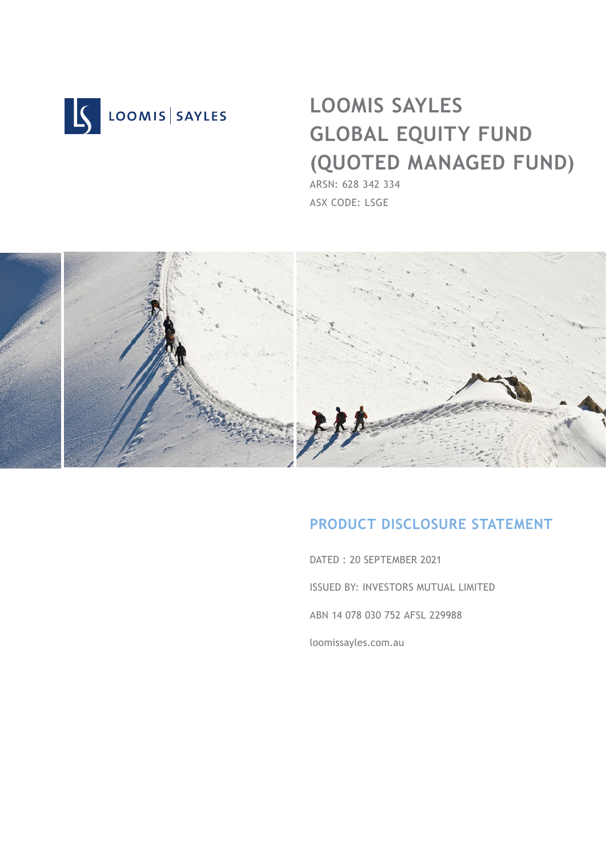

# **LOOMIS SAYLES GLOBAL EQUITY FUND (QUOTED MANAGED FUND)** ARSN: 628 342 334

ASX CODE: LSGE



# **PRODUCT DISCLOSURE STATEMENT**

DATED : 20 SEPTEMBER 2021 ISSUED BY: INVESTORS MUTUAL LIMITED ABN 14 078 030 752 AFSL 229988 loomissayles.com.au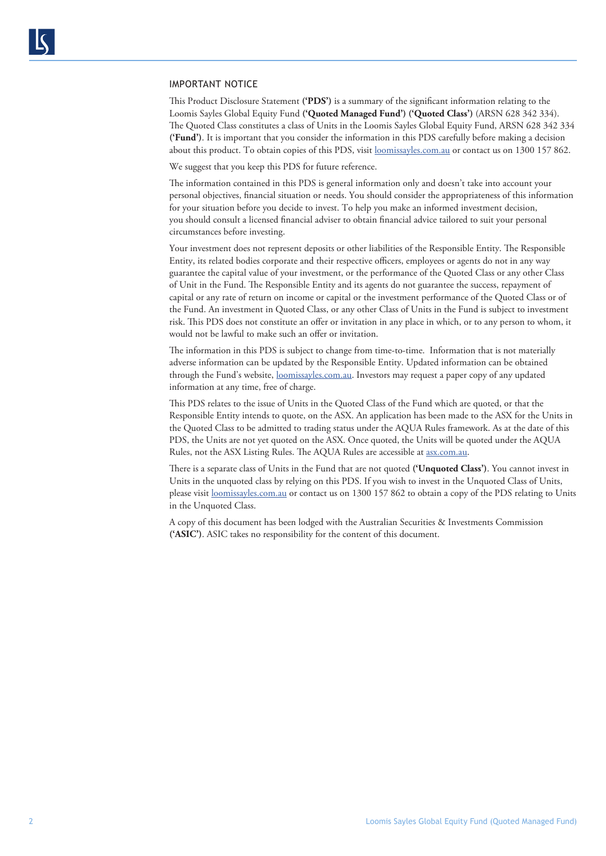#### IMPORTANT NOTICE

This Product Disclosure Statement **('PDS')** is a summary of the significant information relating to the Loomis Sayles Global Equity Fund **('Quoted Managed Fund') ('Quoted Class')** (ARSN 628 342 334). The Quoted Class constitutes a class of Units in the Loomis Sayles Global Equity Fund, ARSN 628 342 334 **('Fund')**. It is important that you consider the information in this PDS carefully before making a decision about this product. To obtain copies of this PDS, visit loomissayles.com.au or contact us on 1300 157 862.

We suggest that you keep this PDS for future reference.

The information contained in this PDS is general information only and doesn't take into account your personal objectives, financial situation or needs. You should consider the appropriateness of this information for your situation before you decide to invest. To help you make an informed investment decision, you should consult a licensed financial adviser to obtain financial advice tailored to suit your personal circumstances before investing.

Your investment does not represent deposits or other liabilities of the Responsible Entity. The Responsible Entity, its related bodies corporate and their respective officers, employees or agents do not in any way guarantee the capital value of your investment, or the performance of the Quoted Class or any other Class of Unit in the Fund. The Responsible Entity and its agents do not guarantee the success, repayment of capital or any rate of return on income or capital or the investment performance of the Quoted Class or of the Fund. An investment in Quoted Class, or any other Class of Units in the Fund is subject to investment risk. This PDS does not constitute an offer or invitation in any place in which, or to any person to whom, it would not be lawful to make such an offer or invitation.

The information in this PDS is subject to change from time-to-time. Information that is not materially adverse information can be updated by the Responsible Entity. Updated information can be obtained through the Fund's website, loomissayles.com.au. Investors may request a paper copy of any updated information at any time, free of charge.

This PDS relates to the issue of Units in the Quoted Class of the Fund which are quoted, or that the Responsible Entity intends to quote, on the ASX. An application has been made to the ASX for the Units in the Quoted Class to be admitted to trading status under the AQUA Rules framework. As at the date of this PDS, the Units are not yet quoted on the ASX. Once quoted, the Units will be quoted under the AQUA Rules, not the ASX Listing Rules. The AQUA Rules are accessible at asx.com.au.

There is a separate class of Units in the Fund that are not quoted **('Unquoted Class')**. You cannot invest in Units in the unquoted class by relying on this PDS. If you wish to invest in the Unquoted Class of Units, please visit loomissayles.com.au or contact us on 1300 157 862 to obtain a copy of the PDS relating to Units in the Unquoted Class.

A copy of this document has been lodged with the Australian Securities & Investments Commission **('ASIC')**. ASIC takes no responsibility for the content of this document.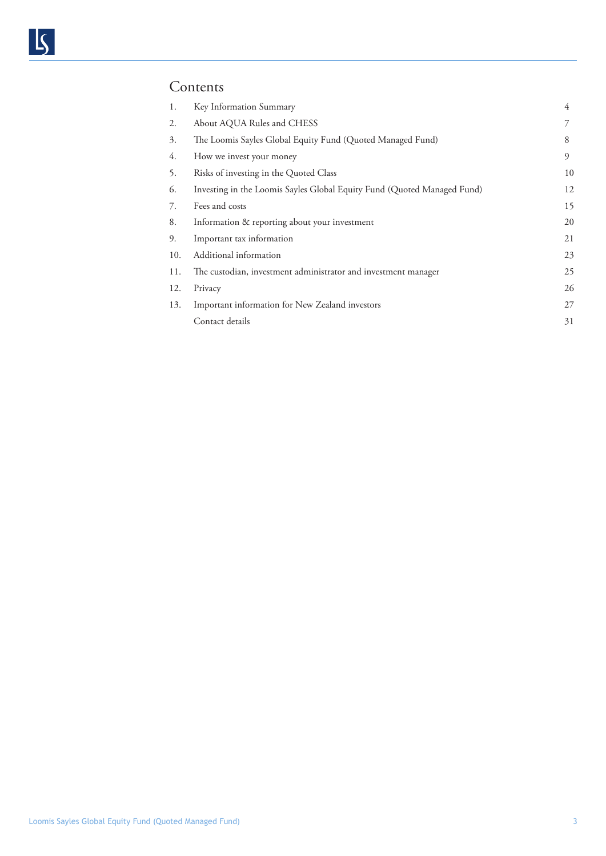# Contents

| 1.  | Key Information Summary                                                 | 4  |
|-----|-------------------------------------------------------------------------|----|
| 2.  | About AQUA Rules and CHESS                                              |    |
| 3.  | The Loomis Sayles Global Equity Fund (Quoted Managed Fund)              | 8  |
| 4.  | How we invest your money                                                | 9  |
| 5.  | Risks of investing in the Quoted Class                                  | 10 |
| 6.  | Investing in the Loomis Sayles Global Equity Fund (Quoted Managed Fund) | 12 |
| 7.  | Fees and costs                                                          | 15 |
| 8.  | Information & reporting about your investment                           | 20 |
| 9.  | Important tax information                                               | 21 |
| 10. | Additional information                                                  | 23 |
| 11. | The custodian, investment administrator and investment manager          | 25 |
| 12. | Privacy                                                                 | 26 |
| 13. | Important information for New Zealand investors                         | 27 |
|     | Contact details                                                         | 31 |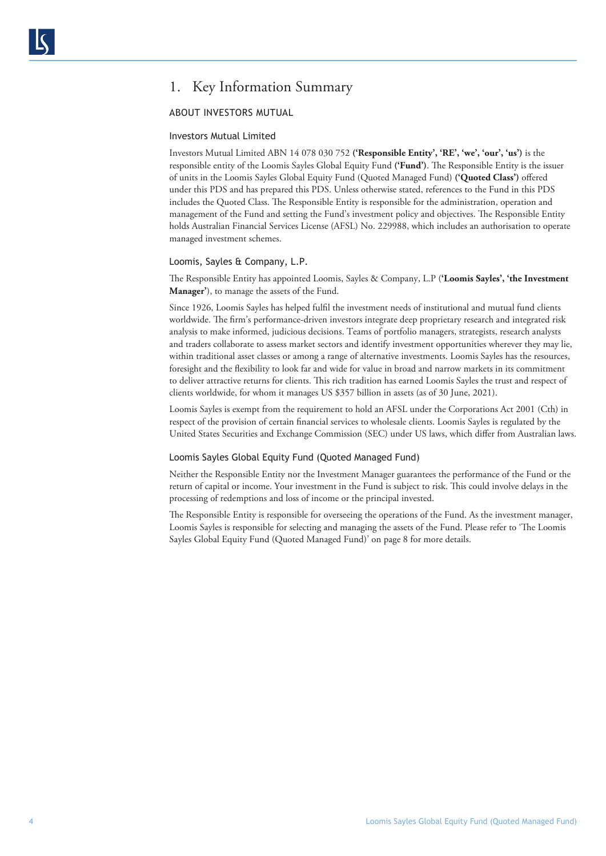### 1. Key Information Summary

#### ABOUT INVESTORS MUTUAL

#### Investors Mutual Limited

Investors Mutual Limited ABN 14 078 030 752 **('Responsible Entity', 'RE', 'we', 'our', 'us')** is the responsible entity of the Loomis Sayles Global Equity Fund **('Fund')**. The Responsible Entity is the issuer of units in the Loomis Sayles Global Equity Fund (Quoted Managed Fund) **('Quoted Class')** offered under this PDS and has prepared this PDS. Unless otherwise stated, references to the Fund in this PDS includes the Quoted Class. The Responsible Entity is responsible for the administration, operation and management of the Fund and setting the Fund's investment policy and objectives. The Responsible Entity holds Australian Financial Services License (AFSL) No. 229988, which includes an authorisation to operate managed investment schemes.

#### Loomis, Sayles & Company, L.P.

The Responsible Entity has appointed Loomis, Sayles & Company, L.P (**'Loomis Sayles', 'the Investment Manager'**), to manage the assets of the Fund.

Since 1926, Loomis Sayles has helped fulfil the investment needs of institutional and mutual fund clients worldwide. The firm's performance-driven investors integrate deep proprietary research and integrated risk analysis to make informed, judicious decisions. Teams of portfolio managers, strategists, research analysts and traders collaborate to assess market sectors and identify investment opportunities wherever they may lie, within traditional asset classes or among a range of alternative investments. Loomis Sayles has the resources, foresight and the flexibility to look far and wide for value in broad and narrow markets in its commitment to deliver attractive returns for clients. This rich tradition has earned Loomis Sayles the trust and respect of clients worldwide, for whom it manages US \$357 billion in assets (as of 30 June, 2021).

Loomis Sayles is exempt from the requirement to hold an AFSL under the Corporations Act 2001 (Cth) in respect of the provision of certain financial services to wholesale clients. Loomis Sayles is regulated by the United States Securities and Exchange Commission (SEC) under US laws, which differ from Australian laws.

#### Loomis Sayles Global Equity Fund (Quoted Managed Fund)

Neither the Responsible Entity nor the Investment Manager guarantees the performance of the Fund or the return of capital or income. Your investment in the Fund is subject to risk. This could involve delays in the processing of redemptions and loss of income or the principal invested.

The Responsible Entity is responsible for overseeing the operations of the Fund. As the investment manager, Loomis Sayles is responsible for selecting and managing the assets of the Fund. Please refer to 'The Loomis Sayles Global Equity Fund (Quoted Managed Fund)' on page 8 for more details.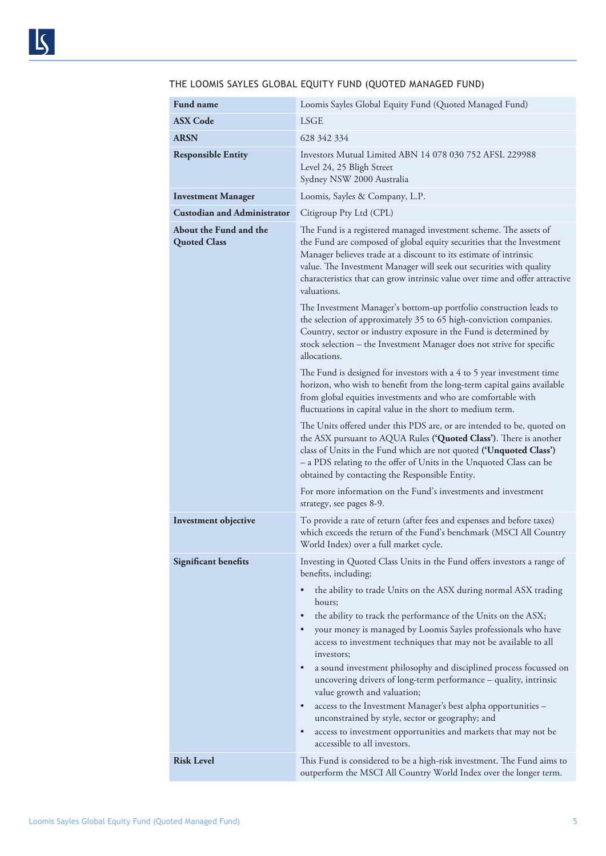| Fund name                                     | Loomis Sayles Global Equity Fund (Quoted Managed Fund)                                                                                                                                                                                                                                                                                                                                                                                                                                                                                                                                                                                                                                              |  |  |  |
|-----------------------------------------------|-----------------------------------------------------------------------------------------------------------------------------------------------------------------------------------------------------------------------------------------------------------------------------------------------------------------------------------------------------------------------------------------------------------------------------------------------------------------------------------------------------------------------------------------------------------------------------------------------------------------------------------------------------------------------------------------------------|--|--|--|
| <b>ASX Code</b>                               | <b>LSGE</b>                                                                                                                                                                                                                                                                                                                                                                                                                                                                                                                                                                                                                                                                                         |  |  |  |
| <b>ARSN</b>                                   | 628 342 334                                                                                                                                                                                                                                                                                                                                                                                                                                                                                                                                                                                                                                                                                         |  |  |  |
| <b>Responsible Entity</b>                     | Investors Mutual Limited ABN 14 078 030 752 AFSL 229988<br>Level 24, 25 Bligh Street<br>Sydney NSW 2000 Australia                                                                                                                                                                                                                                                                                                                                                                                                                                                                                                                                                                                   |  |  |  |
| <b>Investment Manager</b>                     | Loomis, Sayles & Company, L.P.                                                                                                                                                                                                                                                                                                                                                                                                                                                                                                                                                                                                                                                                      |  |  |  |
| <b>Custodian and Administrator</b>            | Citigroup Pty Ltd (CPL)                                                                                                                                                                                                                                                                                                                                                                                                                                                                                                                                                                                                                                                                             |  |  |  |
| About the Fund and the<br><b>Quoted Class</b> | The Fund is a registered managed investment scheme. The assets of<br>the Fund are composed of global equity securities that the Investment<br>Manager believes trade at a discount to its estimate of intrinsic<br>value. The Investment Manager will seek out securities with quality<br>characteristics that can grow intrinsic value over time and offer attractive<br>valuations.                                                                                                                                                                                                                                                                                                               |  |  |  |
|                                               | The Investment Manager's bottom-up portfolio construction leads to<br>the selection of approximately 35 to 65 high-conviction companies.<br>Country, sector or industry exposure in the Fund is determined by<br>stock selection - the Investment Manager does not strive for specific<br>allocations.                                                                                                                                                                                                                                                                                                                                                                                              |  |  |  |
|                                               | The Fund is designed for investors with a 4 to 5 year investment time<br>horizon, who wish to benefit from the long-term capital gains available<br>from global equities investments and who are comfortable with<br>fluctuations in capital value in the short to medium term.                                                                                                                                                                                                                                                                                                                                                                                                                     |  |  |  |
|                                               | The Units offered under this PDS are, or are intended to be, quoted on<br>the ASX pursuant to AQUA Rules ('Quoted Class'). There is another<br>class of Units in the Fund which are not quoted ('Unquoted Class')<br>- a PDS relating to the offer of Units in the Unquoted Class can be<br>obtained by contacting the Responsible Entity.                                                                                                                                                                                                                                                                                                                                                          |  |  |  |
|                                               | For more information on the Fund's investments and investment<br>strategy, see pages 8-9.                                                                                                                                                                                                                                                                                                                                                                                                                                                                                                                                                                                                           |  |  |  |
| Investment objective                          | To provide a rate of return (after fees and expenses and before taxes)<br>which exceeds the return of the Fund's benchmark (MSCI All Country<br>World Index) over a full market cycle.                                                                                                                                                                                                                                                                                                                                                                                                                                                                                                              |  |  |  |
| Significant benefits                          | Investing in Quoted Class Units in the Fund offers investors a range of<br>benefits, including:                                                                                                                                                                                                                                                                                                                                                                                                                                                                                                                                                                                                     |  |  |  |
|                                               | the ability to trade Units on the ASX during normal ASX trading<br>hours;<br>the ability to track the performance of the Units on the ASX;<br>your money is managed by Loomis Sayles professionals who have<br>access to investment techniques that may not be available to all<br>investors;<br>a sound investment philosophy and disciplined process focussed on<br>$\bullet$<br>uncovering drivers of long-term performance - quality, intrinsic<br>value growth and valuation;<br>access to the Investment Manager's best alpha opportunities -<br>$\bullet$<br>unconstrained by style, sector or geography; and<br>access to investment opportunities and markets that may not be<br>$\bullet$ |  |  |  |
|                                               | accessible to all investors.                                                                                                                                                                                                                                                                                                                                                                                                                                                                                                                                                                                                                                                                        |  |  |  |
| <b>Risk Level</b>                             | This Fund is considered to be a high-risk investment. The Fund aims to<br>outperform the MSCI All Country World Index over the longer term.                                                                                                                                                                                                                                                                                                                                                                                                                                                                                                                                                         |  |  |  |

#### THE LOOMIS SAYLES GLOBAL EQUITY FUND (QUOTED MANAGED FUND)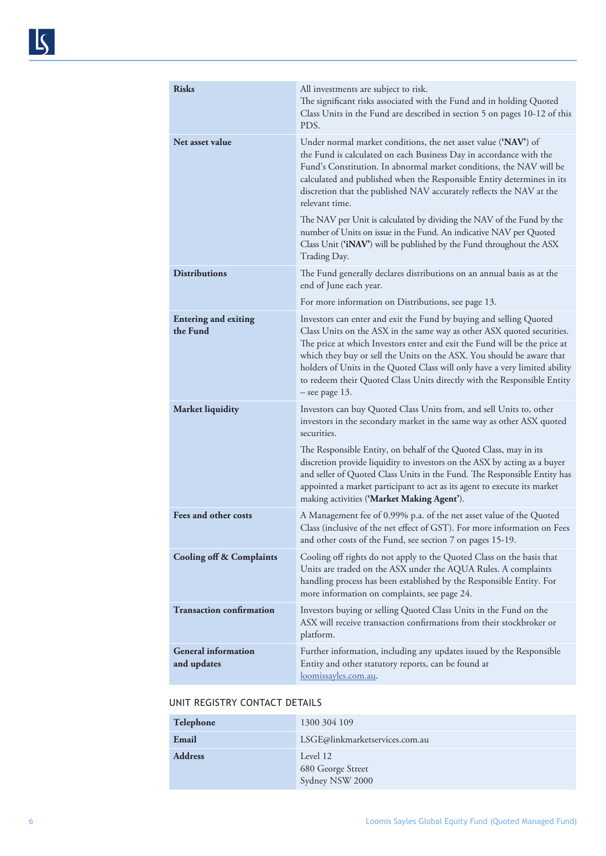| <b>Risks</b>                              | All investments are subject to risk.<br>The significant risks associated with the Fund and in holding Quoted<br>Class Units in the Fund are described in section 5 on pages 10-12 of this<br>PDS.                                                                                                                                                                                                                                                                               |
|-------------------------------------------|---------------------------------------------------------------------------------------------------------------------------------------------------------------------------------------------------------------------------------------------------------------------------------------------------------------------------------------------------------------------------------------------------------------------------------------------------------------------------------|
| Net asset value                           | Under normal market conditions, the net asset value ('NAV') of<br>the Fund is calculated on each Business Day in accordance with the<br>Fund's Constitution. In abnormal market conditions, the NAV will be<br>calculated and published when the Responsible Entity determines in its<br>discretion that the published NAV accurately reflects the NAV at the<br>relevant time.                                                                                                 |
|                                           | The NAV per Unit is calculated by dividing the NAV of the Fund by the<br>number of Units on issue in the Fund. An indicative NAV per Quoted<br>Class Unit ('iNAV') will be published by the Fund throughout the ASX<br>Trading Day.                                                                                                                                                                                                                                             |
| <b>Distributions</b>                      | The Fund generally declares distributions on an annual basis as at the<br>end of June each year.                                                                                                                                                                                                                                                                                                                                                                                |
|                                           | For more information on Distributions, see page 13.                                                                                                                                                                                                                                                                                                                                                                                                                             |
| <b>Entering and exiting</b><br>the Fund   | Investors can enter and exit the Fund by buying and selling Quoted<br>Class Units on the ASX in the same way as other ASX quoted securities.<br>The price at which Investors enter and exit the Fund will be the price at<br>which they buy or sell the Units on the ASX. You should be aware that<br>holders of Units in the Quoted Class will only have a very limited ability<br>to redeem their Quoted Class Units directly with the Responsible Entity<br>$-$ see page 13. |
| Market liquidity                          | Investors can buy Quoted Class Units from, and sell Units to, other<br>investors in the secondary market in the same way as other ASX quoted<br>securities.                                                                                                                                                                                                                                                                                                                     |
|                                           | The Responsible Entity, on behalf of the Quoted Class, may in its<br>discretion provide liquidity to investors on the ASX by acting as a buyer<br>and seller of Quoted Class Units in the Fund. The Responsible Entity has<br>appointed a market participant to act as its agent to execute its market<br>making activities ('Market Making Agent').                                                                                                                            |
| Fees and other costs                      | A Management fee of 0.99% p.a. of the net asset value of the Quoted<br>Class (inclusive of the net effect of GST). For more information on Fees<br>and other costs of the Fund, see section 7 on pages 15-19.                                                                                                                                                                                                                                                                   |
| <b>Cooling off &amp; Complaints</b>       | Cooling off rights do not apply to the Quoted Class on the basis that<br>Units are traded on the ASX under the AQUA Rules. A complaints<br>handling process has been established by the Responsible Entity. For<br>more information on complaints, see page 24.                                                                                                                                                                                                                 |
| <b>Transaction confirmation</b>           | Investors buying or selling Quoted Class Units in the Fund on the<br>ASX will receive transaction confirmations from their stockbroker or<br>platform.                                                                                                                                                                                                                                                                                                                          |
| <b>General information</b><br>and updates | Further information, including any updates issued by the Responsible<br>Entity and other statutory reports, can be found at<br>loomissayles.com.au.                                                                                                                                                                                                                                                                                                                             |
|                                           |                                                                                                                                                                                                                                                                                                                                                                                                                                                                                 |

### UNIT REGISTRY CONTACT DETAILS

| <b>Telephone</b> | 1300 304 109                                     |
|------------------|--------------------------------------------------|
| Email            | LSGE@linkmarketservices.com.au                   |
| <b>Address</b>   | Level 12<br>680 George Street<br>Sydney NSW 2000 |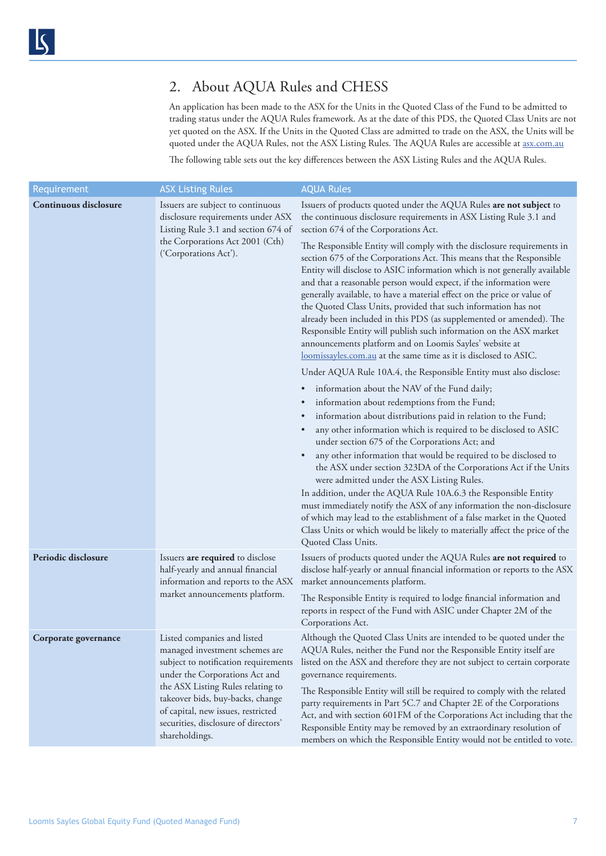# 2. About AQUA Rules and CHESS

An application has been made to the ASX for the Units in the Quoted Class of the Fund to be admitted to trading status under the AQUA Rules framework. As at the date of this PDS, the Quoted Class Units are not yet quoted on the ASX. If the Units in the Quoted Class are admitted to trade on the ASX, the Units will be quoted under the AQUA Rules, not the ASX Listing Rules. The AQUA Rules are accessible at asx.com.au

The following table sets out the key differences between the ASX Listing Rules and the AQUA Rules.

| Requirement           | <b>ASX Listing Rules</b>                                                                                                                                                                                                                                                                                         | <b>AQUA Rules</b>                                                                                                                                                                                                                                                                                                                                                                                                                                                                                                                                                                                                                                                                                                                                                                                                                                                                                              |
|-----------------------|------------------------------------------------------------------------------------------------------------------------------------------------------------------------------------------------------------------------------------------------------------------------------------------------------------------|----------------------------------------------------------------------------------------------------------------------------------------------------------------------------------------------------------------------------------------------------------------------------------------------------------------------------------------------------------------------------------------------------------------------------------------------------------------------------------------------------------------------------------------------------------------------------------------------------------------------------------------------------------------------------------------------------------------------------------------------------------------------------------------------------------------------------------------------------------------------------------------------------------------|
| Continuous disclosure | Issuers are subject to continuous<br>disclosure requirements under ASX<br>Listing Rule 3.1 and section 674 of<br>the Corporations Act 2001 (Cth)<br>('Corporations Act').                                                                                                                                        | Issuers of products quoted under the AQUA Rules are not subject to<br>the continuous disclosure requirements in ASX Listing Rule 3.1 and<br>section 674 of the Corporations Act.<br>The Responsible Entity will comply with the disclosure requirements in<br>section 675 of the Corporations Act. This means that the Responsible<br>Entity will disclose to ASIC information which is not generally available<br>and that a reasonable person would expect, if the information were<br>generally available, to have a material effect on the price or value of<br>the Quoted Class Units, provided that such information has not<br>already been included in this PDS (as supplemented or amended). The<br>Responsible Entity will publish such information on the ASX market<br>announcements platform and on Loomis Sayles' website at<br>loomissayles.com.au at the same time as it is disclosed to ASIC. |
|                       |                                                                                                                                                                                                                                                                                                                  | Under AQUA Rule 10A.4, the Responsible Entity must also disclose:<br>information about the NAV of the Fund daily;<br>$\bullet$<br>information about redemptions from the Fund;<br>information about distributions paid in relation to the Fund;<br>$\bullet$<br>any other information which is required to be disclosed to ASIC<br>under section 675 of the Corporations Act; and<br>any other information that would be required to be disclosed to<br>$\bullet$<br>the ASX under section 323DA of the Corporations Act if the Units<br>were admitted under the ASX Listing Rules.<br>In addition, under the AQUA Rule 10A.6.3 the Responsible Entity<br>must immediately notify the ASX of any information the non-disclosure<br>of which may lead to the establishment of a false market in the Quoted<br>Class Units or which would be likely to materially affect the price of the<br>Quoted Class Units. |
| Periodic disclosure   | Issuers are required to disclose<br>half-yearly and annual financial<br>information and reports to the ASX<br>market announcements platform.                                                                                                                                                                     | Issuers of products quoted under the AQUA Rules are not required to<br>disclose half-yearly or annual financial information or reports to the ASX<br>market announcements platform.<br>The Responsible Entity is required to lodge financial information and<br>reports in respect of the Fund with ASIC under Chapter 2M of the<br>Corporations Act.                                                                                                                                                                                                                                                                                                                                                                                                                                                                                                                                                          |
| Corporate governance  | Listed companies and listed<br>managed investment schemes are<br>subject to notification requirements<br>under the Corporations Act and<br>the ASX Listing Rules relating to<br>takeover bids, buy-backs, change<br>of capital, new issues, restricted<br>securities, disclosure of directors'<br>shareholdings. | Although the Quoted Class Units are intended to be quoted under the<br>AQUA Rules, neither the Fund nor the Responsible Entity itself are<br>listed on the ASX and therefore they are not subject to certain corporate<br>governance requirements.<br>The Responsible Entity will still be required to comply with the related<br>party requirements in Part 5C.7 and Chapter 2E of the Corporations<br>Act, and with section 601FM of the Corporations Act including that the<br>Responsible Entity may be removed by an extraordinary resolution of<br>members on which the Responsible Entity would not be entitled to vote.                                                                                                                                                                                                                                                                                |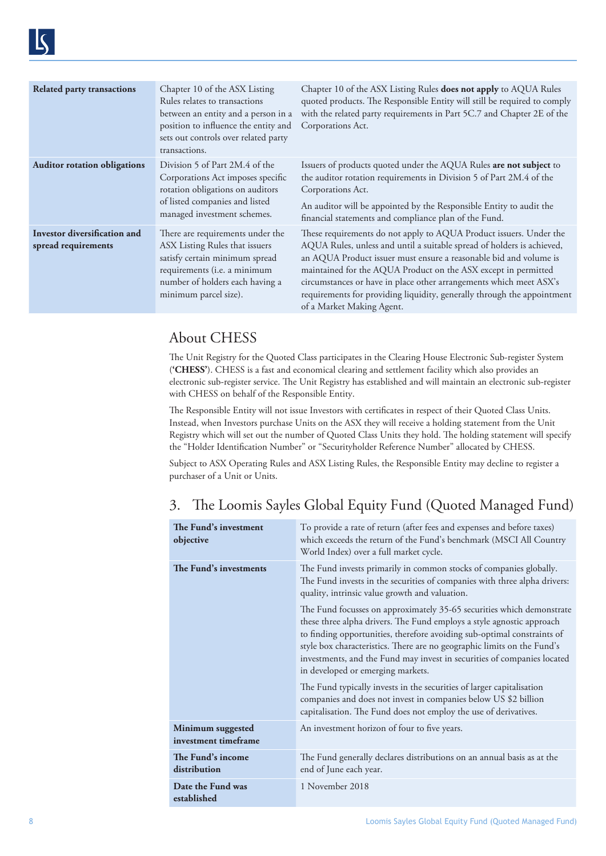| <b>Related party transactions</b>                   | Chapter 10 of the ASX Listing<br>Rules relates to transactions<br>between an entity and a person in a<br>position to influence the entity and<br>sets out controls over related party<br>transactions. | Chapter 10 of the ASX Listing Rules does not apply to AQUA Rules<br>quoted products. The Responsible Entity will still be required to comply<br>with the related party requirements in Part 5C.7 and Chapter 2E of the<br>Corporations Act.                                                                                                                                                                                                                       |
|-----------------------------------------------------|--------------------------------------------------------------------------------------------------------------------------------------------------------------------------------------------------------|-------------------------------------------------------------------------------------------------------------------------------------------------------------------------------------------------------------------------------------------------------------------------------------------------------------------------------------------------------------------------------------------------------------------------------------------------------------------|
| <b>Auditor rotation obligations</b>                 | Division 5 of Part 2M.4 of the<br>Corporations Act imposes specific<br>rotation obligations on auditors<br>of listed companies and listed<br>managed investment schemes.                               | Issuers of products quoted under the AQUA Rules are not subject to<br>the auditor rotation requirements in Division 5 of Part 2M.4 of the<br>Corporations Act.<br>An auditor will be appointed by the Responsible Entity to audit the<br>financial statements and compliance plan of the Fund.                                                                                                                                                                    |
| Investor diversification and<br>spread requirements | There are requirements under the<br>ASX Listing Rules that issuers<br>satisfy certain minimum spread<br>requirements (i.e. a minimum<br>number of holders each having a<br>minimum parcel size).       | These requirements do not apply to AQUA Product issuers. Under the<br>AQUA Rules, unless and until a suitable spread of holders is achieved,<br>an AQUA Product issuer must ensure a reasonable bid and volume is<br>maintained for the AQUA Product on the ASX except in permitted<br>circumstances or have in place other arrangements which meet ASX's<br>requirements for providing liquidity, generally through the appointment<br>of a Market Making Agent. |

## About CHESS

The Unit Registry for the Quoted Class participates in the Clearing House Electronic Sub-register System (**'CHESS'**). CHESS is a fast and economical clearing and settlement facility which also provides an electronic sub-register service. The Unit Registry has established and will maintain an electronic sub-register with CHESS on behalf of the Responsible Entity.

The Responsible Entity will not issue Investors with certificates in respect of their Quoted Class Units. Instead, when Investors purchase Units on the ASX they will receive a holding statement from the Unit Registry which will set out the number of Quoted Class Units they hold. The holding statement will specify the "Holder Identification Number" or "Securityholder Reference Number" allocated by CHESS.

Subject to ASX Operating Rules and ASX Listing Rules, the Responsible Entity may decline to register a purchaser of a Unit or Units.

# 3. The Loomis Sayles Global Equity Fund (Quoted Managed Fund)

| The Fund's investment<br>objective        | To provide a rate of return (after fees and expenses and before taxes)<br>which exceeds the return of the Fund's benchmark (MSCI All Country<br>World Index) over a full market cycle.                                                                                                                                                                                                                               |  |  |
|-------------------------------------------|----------------------------------------------------------------------------------------------------------------------------------------------------------------------------------------------------------------------------------------------------------------------------------------------------------------------------------------------------------------------------------------------------------------------|--|--|
| The Fund's investments                    | The Fund invests primarily in common stocks of companies globally.<br>The Fund invests in the securities of companies with three alpha drivers:<br>quality, intrinsic value growth and valuation.                                                                                                                                                                                                                    |  |  |
|                                           | The Fund focusses on approximately 35-65 securities which demonstrate<br>these three alpha drivers. The Fund employs a style agnostic approach<br>to finding opportunities, therefore avoiding sub-optimal constraints of<br>style box characteristics. There are no geographic limits on the Fund's<br>investments, and the Fund may invest in securities of companies located<br>in developed or emerging markets. |  |  |
|                                           | The Fund typically invests in the securities of larger capitalisation<br>companies and does not invest in companies below US \$2 billion<br>capitalisation. The Fund does not employ the use of derivatives.                                                                                                                                                                                                         |  |  |
| Minimum suggested<br>investment timeframe | An investment horizon of four to five years.                                                                                                                                                                                                                                                                                                                                                                         |  |  |
| The Fund's income<br>distribution         | The Fund generally declares distributions on an annual basis as at the<br>end of June each year.                                                                                                                                                                                                                                                                                                                     |  |  |
| Date the Fund was<br>established          | 1 November 2018                                                                                                                                                                                                                                                                                                                                                                                                      |  |  |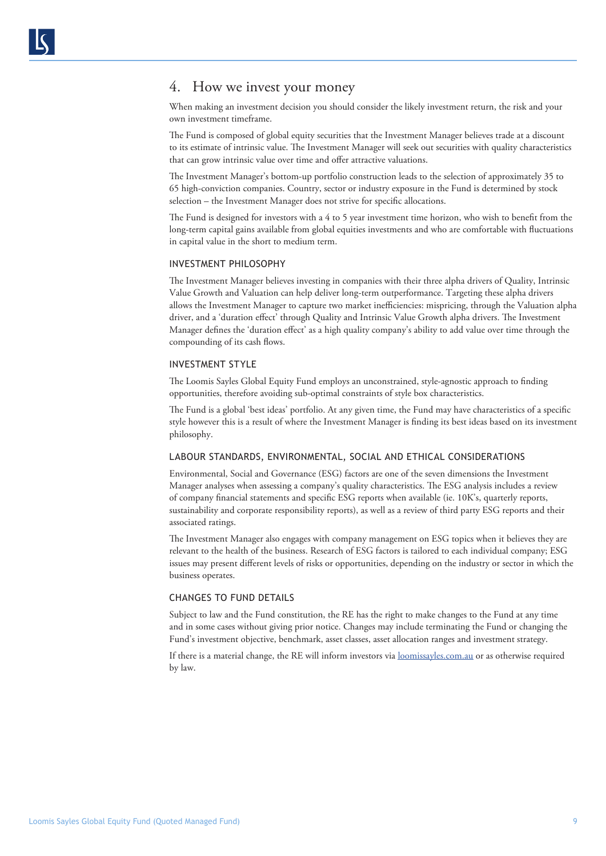### 4. How we invest your money

When making an investment decision you should consider the likely investment return, the risk and your own investment timeframe.

The Fund is composed of global equity securities that the Investment Manager believes trade at a discount to its estimate of intrinsic value. The Investment Manager will seek out securities with quality characteristics that can grow intrinsic value over time and offer attractive valuations.

The Investment Manager's bottom-up portfolio construction leads to the selection of approximately 35 to 65 high-conviction companies. Country, sector or industry exposure in the Fund is determined by stock selection – the Investment Manager does not strive for specific allocations.

The Fund is designed for investors with a 4 to 5 year investment time horizon, who wish to benefit from the long-term capital gains available from global equities investments and who are comfortable with fluctuations in capital value in the short to medium term.

#### INVESTMENT PHILOSOPHY

The Investment Manager believes investing in companies with their three alpha drivers of Quality, Intrinsic Value Growth and Valuation can help deliver long-term outperformance. Targeting these alpha drivers allows the Investment Manager to capture two market inefficiencies: mispricing, through the Valuation alpha driver, and a 'duration effect' through Quality and Intrinsic Value Growth alpha drivers. The Investment Manager defines the 'duration effect' as a high quality company's ability to add value over time through the compounding of its cash flows.

#### INVESTMENT STYLE

The Loomis Sayles Global Equity Fund employs an unconstrained, style-agnostic approach to finding opportunities, therefore avoiding sub-optimal constraints of style box characteristics.

The Fund is a global 'best ideas' portfolio. At any given time, the Fund may have characteristics of a specific style however this is a result of where the Investment Manager is finding its best ideas based on its investment philosophy.

#### LABOUR STANDARDS, ENVIRONMENTAL, SOCIAL AND ETHICAL CONSIDERATIONS

Environmental, Social and Governance (ESG) factors are one of the seven dimensions the Investment Manager analyses when assessing a company's quality characteristics. The ESG analysis includes a review of company financial statements and specific ESG reports when available (ie. 10K's, quarterly reports, sustainability and corporate responsibility reports), as well as a review of third party ESG reports and their associated ratings.

The Investment Manager also engages with company management on ESG topics when it believes they are relevant to the health of the business. Research of ESG factors is tailored to each individual company; ESG issues may present different levels of risks or opportunities, depending on the industry or sector in which the business operates.

#### CHANGES TO FUND DETAILS

Subject to law and the Fund constitution, the RE has the right to make changes to the Fund at any time and in some cases without giving prior notice. Changes may include terminating the Fund or changing the Fund's investment objective, benchmark, asset classes, asset allocation ranges and investment strategy.

If there is a material change, the RE will inform investors via loomissayles.com.au or as otherwise required by law.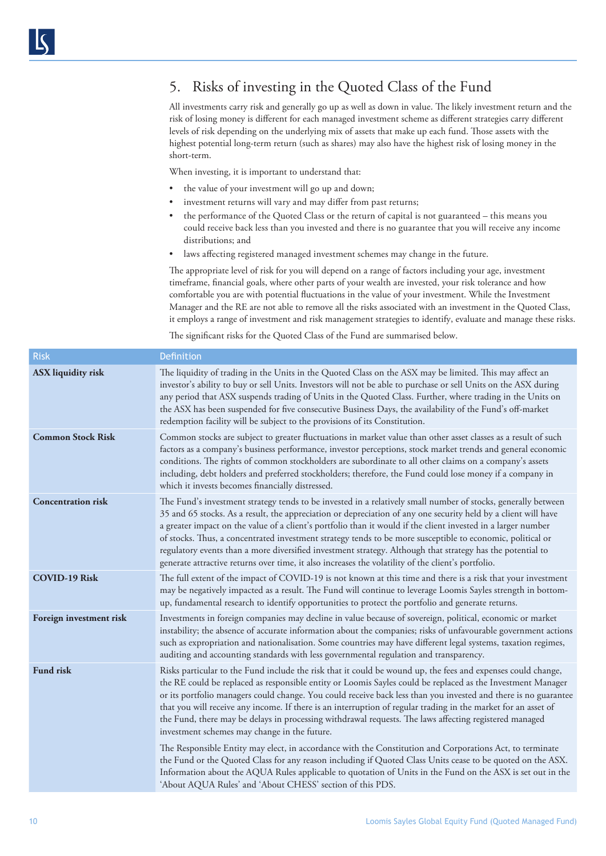## 5. Risks of investing in the Quoted Class of the Fund

All investments carry risk and generally go up as well as down in value. The likely investment return and the risk of losing money is different for each managed investment scheme as different strategies carry different levels of risk depending on the underlying mix of assets that make up each fund. Those assets with the highest potential long-term return (such as shares) may also have the highest risk of losing money in the short-term.

When investing, it is important to understand that:

- the value of your investment will go up and down;
- investment returns will vary and may differ from past returns;
- the performance of the Quoted Class or the return of capital is not guaranteed this means you could receive back less than you invested and there is no guarantee that you will receive any income distributions; and
- laws affecting registered managed investment schemes may change in the future.

The appropriate level of risk for you will depend on a range of factors including your age, investment timeframe, financial goals, where other parts of your wealth are invested, your risk tolerance and how comfortable you are with potential fluctuations in the value of your investment. While the Investment Manager and the RE are not able to remove all the risks associated with an investment in the Quoted Class, it employs a range of investment and risk management strategies to identify, evaluate and manage these risks.

The significant risks for the Quoted Class of the Fund are summarised below.

| <b>Risk</b>               | Definition                                                                                                                                                                                                                                                                                                                                                                                                                                                                                                                                                                                                                                                                         |
|---------------------------|------------------------------------------------------------------------------------------------------------------------------------------------------------------------------------------------------------------------------------------------------------------------------------------------------------------------------------------------------------------------------------------------------------------------------------------------------------------------------------------------------------------------------------------------------------------------------------------------------------------------------------------------------------------------------------|
| <b>ASX</b> liquidity risk | The liquidity of trading in the Units in the Quoted Class on the ASX may be limited. This may affect an<br>investor's ability to buy or sell Units. Investors will not be able to purchase or sell Units on the ASX during<br>any period that ASX suspends trading of Units in the Quoted Class. Further, where trading in the Units on<br>the ASX has been suspended for five consecutive Business Days, the availability of the Fund's off-market<br>redemption facility will be subject to the provisions of its Constitution.                                                                                                                                                  |
| <b>Common Stock Risk</b>  | Common stocks are subject to greater fluctuations in market value than other asset classes as a result of such<br>factors as a company's business performance, investor perceptions, stock market trends and general economic<br>conditions. The rights of common stockholders are subordinate to all other claims on a company's assets<br>including, debt holders and preferred stockholders; therefore, the Fund could lose money if a company in<br>which it invests becomes financially distressed.                                                                                                                                                                           |
| <b>Concentration risk</b> | The Fund's investment strategy tends to be invested in a relatively small number of stocks, generally between<br>35 and 65 stocks. As a result, the appreciation or depreciation of any one security held by a client will have<br>a greater impact on the value of a client's portfolio than it would if the client invested in a larger number<br>of stocks. Thus, a concentrated investment strategy tends to be more susceptible to economic, political or<br>regulatory events than a more diversified investment strategy. Although that strategy has the potential to<br>generate attractive returns over time, it also increases the volatility of the client's portfolio. |
| <b>COVID-19 Risk</b>      | The full extent of the impact of COVID-19 is not known at this time and there is a risk that your investment<br>may be negatively impacted as a result. The Fund will continue to leverage Loomis Sayles strength in bottom-<br>up, fundamental research to identify opportunities to protect the portfolio and generate returns.                                                                                                                                                                                                                                                                                                                                                  |
| Foreign investment risk   | Investments in foreign companies may decline in value because of sovereign, political, economic or market<br>instability; the absence of accurate information about the companies; risks of unfavourable government actions<br>such as expropriation and nationalisation. Some countries may have different legal systems, taxation regimes,<br>auditing and accounting standards with less governmental regulation and transparency.                                                                                                                                                                                                                                              |
| <b>Fund risk</b>          | Risks particular to the Fund include the risk that it could be wound up, the fees and expenses could change,<br>the RE could be replaced as responsible entity or Loomis Sayles could be replaced as the Investment Manager<br>or its portfolio managers could change. You could receive back less than you invested and there is no guarantee<br>that you will receive any income. If there is an interruption of regular trading in the market for an asset of<br>the Fund, there may be delays in processing withdrawal requests. The laws affecting registered managed<br>investment schemes may change in the future.                                                         |
|                           | The Responsible Entity may elect, in accordance with the Constitution and Corporations Act, to terminate<br>the Fund or the Quoted Class for any reason including if Quoted Class Units cease to be quoted on the ASX.<br>Information about the AQUA Rules applicable to quotation of Units in the Fund on the ASX is set out in the<br>'About AQUA Rules' and 'About CHESS' section of this PDS.                                                                                                                                                                                                                                                                                  |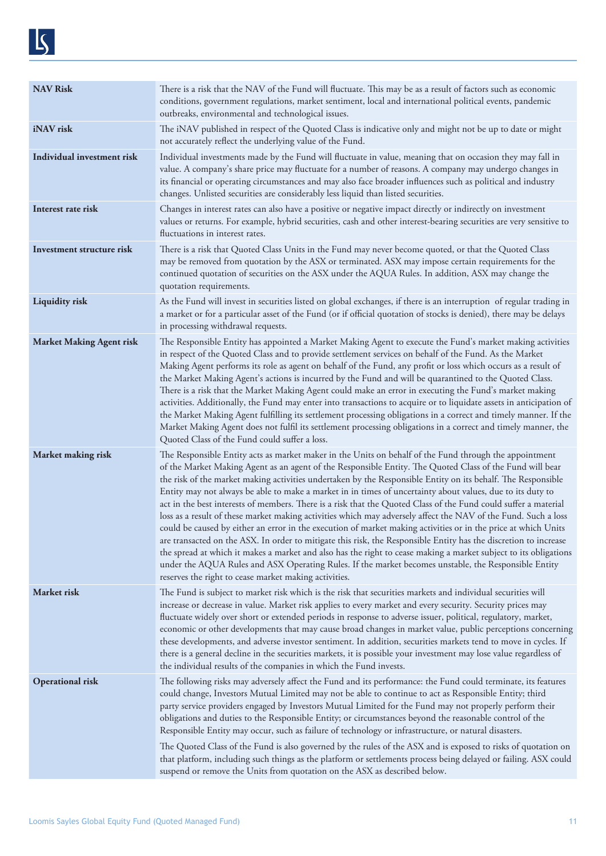| <b>NAV Risk</b>                 | There is a risk that the NAV of the Fund will fluctuate. This may be as a result of factors such as economic<br>conditions, government regulations, market sentiment, local and international political events, pandemic<br>outbreaks, environmental and technological issues.                                                                                                                                                                                                                                                                                                                                                                                                                                                                                                                                                                                                                                                                                                                                                                                                                                                                                                                                   |
|---------------------------------|------------------------------------------------------------------------------------------------------------------------------------------------------------------------------------------------------------------------------------------------------------------------------------------------------------------------------------------------------------------------------------------------------------------------------------------------------------------------------------------------------------------------------------------------------------------------------------------------------------------------------------------------------------------------------------------------------------------------------------------------------------------------------------------------------------------------------------------------------------------------------------------------------------------------------------------------------------------------------------------------------------------------------------------------------------------------------------------------------------------------------------------------------------------------------------------------------------------|
| iNAV risk                       | The iNAV published in respect of the Quoted Class is indicative only and might not be up to date or might<br>not accurately reflect the underlying value of the Fund.                                                                                                                                                                                                                                                                                                                                                                                                                                                                                                                                                                                                                                                                                                                                                                                                                                                                                                                                                                                                                                            |
| Individual investment risk      | Individual investments made by the Fund will fluctuate in value, meaning that on occasion they may fall in<br>value. A company's share price may fluctuate for a number of reasons. A company may undergo changes in<br>its financial or operating circumstances and may also face broader influences such as political and industry<br>changes. Unlisted securities are considerably less liquid than listed securities.                                                                                                                                                                                                                                                                                                                                                                                                                                                                                                                                                                                                                                                                                                                                                                                        |
| Interest rate risk              | Changes in interest rates can also have a positive or negative impact directly or indirectly on investment<br>values or returns. For example, hybrid securities, cash and other interest-bearing securities are very sensitive to<br>fluctuations in interest rates.                                                                                                                                                                                                                                                                                                                                                                                                                                                                                                                                                                                                                                                                                                                                                                                                                                                                                                                                             |
| Investment structure risk       | There is a risk that Quoted Class Units in the Fund may never become quoted, or that the Quoted Class<br>may be removed from quotation by the ASX or terminated. ASX may impose certain requirements for the<br>continued quotation of securities on the ASX under the AQUA Rules. In addition, ASX may change the<br>quotation requirements.                                                                                                                                                                                                                                                                                                                                                                                                                                                                                                                                                                                                                                                                                                                                                                                                                                                                    |
| <b>Liquidity risk</b>           | As the Fund will invest in securities listed on global exchanges, if there is an interruption of regular trading in<br>a market or for a particular asset of the Fund (or if official quotation of stocks is denied), there may be delays<br>in processing withdrawal requests.                                                                                                                                                                                                                                                                                                                                                                                                                                                                                                                                                                                                                                                                                                                                                                                                                                                                                                                                  |
| <b>Market Making Agent risk</b> | The Responsible Entity has appointed a Market Making Agent to execute the Fund's market making activities<br>in respect of the Quoted Class and to provide settlement services on behalf of the Fund. As the Market<br>Making Agent performs its role as agent on behalf of the Fund, any profit or loss which occurs as a result of<br>the Market Making Agent's actions is incurred by the Fund and will be quarantined to the Quoted Class.<br>There is a risk that the Market Making Agent could make an error in executing the Fund's market making<br>activities. Additionally, the Fund may enter into transactions to acquire or to liquidate assets in anticipation of<br>the Market Making Agent fulfilling its settlement processing obligations in a correct and timely manner. If the<br>Market Making Agent does not fulfil its settlement processing obligations in a correct and timely manner, the<br>Quoted Class of the Fund could suffer a loss.                                                                                                                                                                                                                                             |
| Market making risk              | The Responsible Entity acts as market maker in the Units on behalf of the Fund through the appointment<br>of the Market Making Agent as an agent of the Responsible Entity. The Quoted Class of the Fund will bear<br>the risk of the market making activities undertaken by the Responsible Entity on its behalf. The Responsible<br>Entity may not always be able to make a market in in times of uncertainty about values, due to its duty to<br>act in the best interests of members. There is a risk that the Quoted Class of the Fund could suffer a material<br>loss as a result of these market making activities which may adversely affect the NAV of the Fund. Such a loss<br>could be caused by either an error in the execution of market making activities or in the price at which Units<br>are transacted on the ASX. In order to mitigate this risk, the Responsible Entity has the discretion to increase<br>the spread at which it makes a market and also has the right to cease making a market subject to its obligations<br>under the AQUA Rules and ASX Operating Rules. If the market becomes unstable, the Responsible Entity<br>reserves the right to cease market making activities. |
| Market risk                     | The Fund is subject to market risk which is the risk that securities markets and individual securities will<br>increase or decrease in value. Market risk applies to every market and every security. Security prices may<br>fluctuate widely over short or extended periods in response to adverse issuer, political, regulatory, market,<br>economic or other developments that may cause broad changes in market value, public perceptions concerning<br>these developments, and adverse investor sentiment. In addition, securities markets tend to move in cycles. If<br>there is a general decline in the securities markets, it is possible your investment may lose value regardless of<br>the individual results of the companies in which the Fund invests.                                                                                                                                                                                                                                                                                                                                                                                                                                            |
| <b>Operational risk</b>         | The following risks may adversely affect the Fund and its performance: the Fund could terminate, its features<br>could change, Investors Mutual Limited may not be able to continue to act as Responsible Entity; third<br>party service providers engaged by Investors Mutual Limited for the Fund may not properly perform their<br>obligations and duties to the Responsible Entity; or circumstances beyond the reasonable control of the<br>Responsible Entity may occur, such as failure of technology or infrastructure, or natural disasters.                                                                                                                                                                                                                                                                                                                                                                                                                                                                                                                                                                                                                                                            |
|                                 | The Quoted Class of the Fund is also governed by the rules of the ASX and is exposed to risks of quotation on<br>that platform, including such things as the platform or settlements process being delayed or failing. ASX could<br>suspend or remove the Units from quotation on the ASX as described below.                                                                                                                                                                                                                                                                                                                                                                                                                                                                                                                                                                                                                                                                                                                                                                                                                                                                                                    |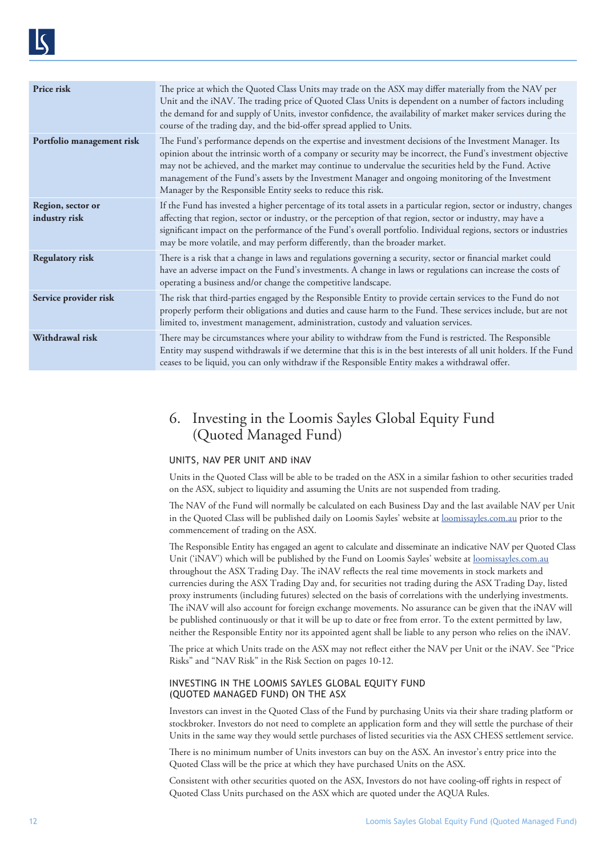| Price risk                         | The price at which the Quoted Class Units may trade on the ASX may differ materially from the NAV per<br>Unit and the iNAV. The trading price of Quoted Class Units is dependent on a number of factors including<br>the demand for and supply of Units, investor confidence, the availability of market maker services during the<br>course of the trading day, and the bid-offer spread applied to Units.                                                                                             |
|------------------------------------|---------------------------------------------------------------------------------------------------------------------------------------------------------------------------------------------------------------------------------------------------------------------------------------------------------------------------------------------------------------------------------------------------------------------------------------------------------------------------------------------------------|
| Portfolio management risk          | The Fund's performance depends on the expertise and investment decisions of the Investment Manager. Its<br>opinion about the intrinsic worth of a company or security may be incorrect, the Fund's investment objective<br>may not be achieved, and the market may continue to undervalue the securities held by the Fund. Active<br>management of the Fund's assets by the Investment Manager and ongoing monitoring of the Investment<br>Manager by the Responsible Entity seeks to reduce this risk. |
| Region, sector or<br>industry risk | If the Fund has invested a higher percentage of its total assets in a particular region, sector or industry, changes<br>affecting that region, sector or industry, or the perception of that region, sector or industry, may have a<br>significant impact on the performance of the Fund's overall portfolio. Individual regions, sectors or industries<br>may be more volatile, and may perform differently, than the broader market.                                                                  |
| <b>Regulatory risk</b>             | There is a risk that a change in laws and regulations governing a security, sector or financial market could<br>have an adverse impact on the Fund's investments. A change in laws or regulations can increase the costs of<br>operating a business and/or change the competitive landscape.                                                                                                                                                                                                            |
| Service provider risk              | The risk that third-parties engaged by the Responsible Entity to provide certain services to the Fund do not<br>properly perform their obligations and duties and cause harm to the Fund. These services include, but are not<br>limited to, investment management, administration, custody and valuation services.                                                                                                                                                                                     |
| Withdrawal risk                    | There may be circumstances where your ability to withdraw from the Fund is restricted. The Responsible<br>Entity may suspend withdrawals if we determine that this is in the best interests of all unit holders. If the Fund<br>ceases to be liquid, you can only withdraw if the Responsible Entity makes a withdrawal offer.                                                                                                                                                                          |

## 6. Investing in the Loomis Sayles Global Equity Fund (Quoted Managed Fund)

#### UNITS, NAV PER UNIT AND iNAV

Units in the Quoted Class will be able to be traded on the ASX in a similar fashion to other securities traded on the ASX, subject to liquidity and assuming the Units are not suspended from trading.

The NAV of the Fund will normally be calculated on each Business Day and the last available NAV per Unit in the Quoted Class will be published daily on Loomis Sayles' website at loomissayles.com.au prior to the commencement of trading on the ASX.

The Responsible Entity has engaged an agent to calculate and disseminate an indicative NAV per Quoted Class Unit ('iNAV') which will be published by the Fund on Loomis Sayles' website at loomissayles.com.au throughout the ASX Trading Day. The iNAV reflects the real time movements in stock markets and currencies during the ASX Trading Day and, for securities not trading during the ASX Trading Day, listed proxy instruments (including futures) selected on the basis of correlations with the underlying investments. The iNAV will also account for foreign exchange movements. No assurance can be given that the iNAV will be published continuously or that it will be up to date or free from error. To the extent permitted by law, neither the Responsible Entity nor its appointed agent shall be liable to any person who relies on the iNAV.

The price at which Units trade on the ASX may not reflect either the NAV per Unit or the iNAV. See "Price Risks" and "NAV Risk" in the Risk Section on pages 10-12.

#### INVESTING IN THE LOOMIS SAYLES GLOBAL EQUITY FUND (QUOTED MANAGED FUND) ON THE ASX

Investors can invest in the Quoted Class of the Fund by purchasing Units via their share trading platform or stockbroker. Investors do not need to complete an application form and they will settle the purchase of their Units in the same way they would settle purchases of listed securities via the ASX CHESS settlement service.

There is no minimum number of Units investors can buy on the ASX. An investor's entry price into the Quoted Class will be the price at which they have purchased Units on the ASX.

Consistent with other securities quoted on the ASX, Investors do not have cooling-off rights in respect of Quoted Class Units purchased on the ASX which are quoted under the AQUA Rules.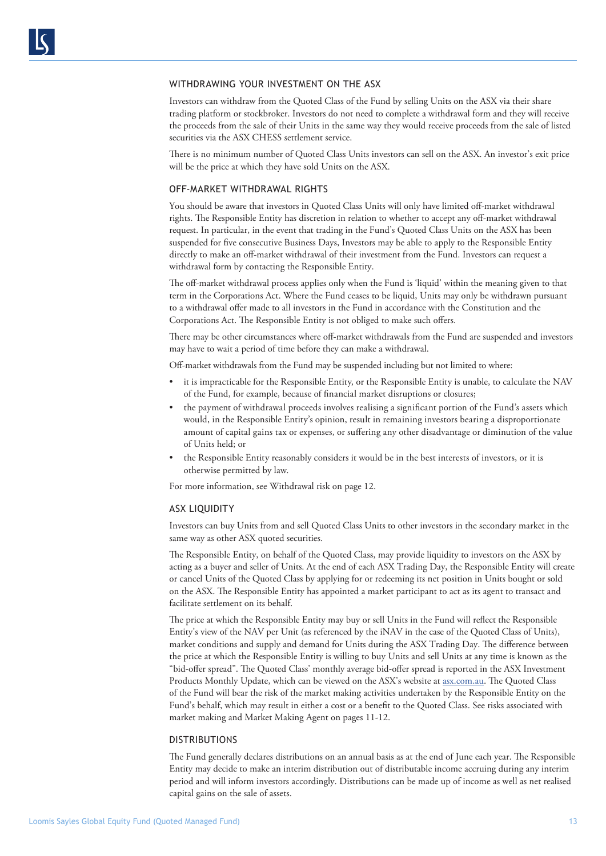#### WITHDRAWING YOUR INVESTMENT ON THE ASX

Investors can withdraw from the Quoted Class of the Fund by selling Units on the ASX via their share trading platform or stockbroker. Investors do not need to complete a withdrawal form and they will receive the proceeds from the sale of their Units in the same way they would receive proceeds from the sale of listed securities via the ASX CHESS settlement service.

There is no minimum number of Quoted Class Units investors can sell on the ASX. An investor's exit price will be the price at which they have sold Units on the ASX.

#### OFF-MARKET WITHDRAWAL RIGHTS

You should be aware that investors in Quoted Class Units will only have limited off-market withdrawal rights. The Responsible Entity has discretion in relation to whether to accept any off-market withdrawal request. In particular, in the event that trading in the Fund's Quoted Class Units on the ASX has been suspended for five consecutive Business Days, Investors may be able to apply to the Responsible Entity directly to make an off-market withdrawal of their investment from the Fund. Investors can request a withdrawal form by contacting the Responsible Entity.

The off-market withdrawal process applies only when the Fund is 'liquid' within the meaning given to that term in the Corporations Act. Where the Fund ceases to be liquid, Units may only be withdrawn pursuant to a withdrawal offer made to all investors in the Fund in accordance with the Constitution and the Corporations Act. The Responsible Entity is not obliged to make such offers.

There may be other circumstances where off-market withdrawals from the Fund are suspended and investors may have to wait a period of time before they can make a withdrawal.

Off-market withdrawals from the Fund may be suspended including but not limited to where:

- it is impracticable for the Responsible Entity, or the Responsible Entity is unable, to calculate the NAV of the Fund, for example, because of financial market disruptions or closures;
- the payment of withdrawal proceeds involves realising a significant portion of the Fund's assets which would, in the Responsible Entity's opinion, result in remaining investors bearing a disproportionate amount of capital gains tax or expenses, or suffering any other disadvantage or diminution of the value of Units held; or
- the Responsible Entity reasonably considers it would be in the best interests of investors, or it is otherwise permitted by law.

For more information, see Withdrawal risk on page 12.

#### ASX LIQUIDITY

Investors can buy Units from and sell Quoted Class Units to other investors in the secondary market in the same way as other ASX quoted securities.

The Responsible Entity, on behalf of the Quoted Class, may provide liquidity to investors on the ASX by acting as a buyer and seller of Units. At the end of each ASX Trading Day, the Responsible Entity will create or cancel Units of the Quoted Class by applying for or redeeming its net position in Units bought or sold on the ASX. The Responsible Entity has appointed a market participant to act as its agent to transact and facilitate settlement on its behalf.

The price at which the Responsible Entity may buy or sell Units in the Fund will reflect the Responsible Entity's view of the NAV per Unit (as referenced by the iNAV in the case of the Quoted Class of Units), market conditions and supply and demand for Units during the ASX Trading Day. The difference between the price at which the Responsible Entity is willing to buy Units and sell Units at any time is known as the "bid-offer spread". The Quoted Class' monthly average bid-offer spread is reported in the ASX Investment Products Monthly Update, which can be viewed on the ASX's website at asx.com.au. The Quoted Class of the Fund will bear the risk of the market making activities undertaken by the Responsible Entity on the Fund's behalf, which may result in either a cost or a benefit to the Quoted Class. See risks associated with market making and Market Making Agent on pages 11-12.

#### DISTRIBUTIONS

The Fund generally declares distributions on an annual basis as at the end of June each year. The Responsible Entity may decide to make an interim distribution out of distributable income accruing during any interim period and will inform investors accordingly. Distributions can be made up of income as well as net realised capital gains on the sale of assets.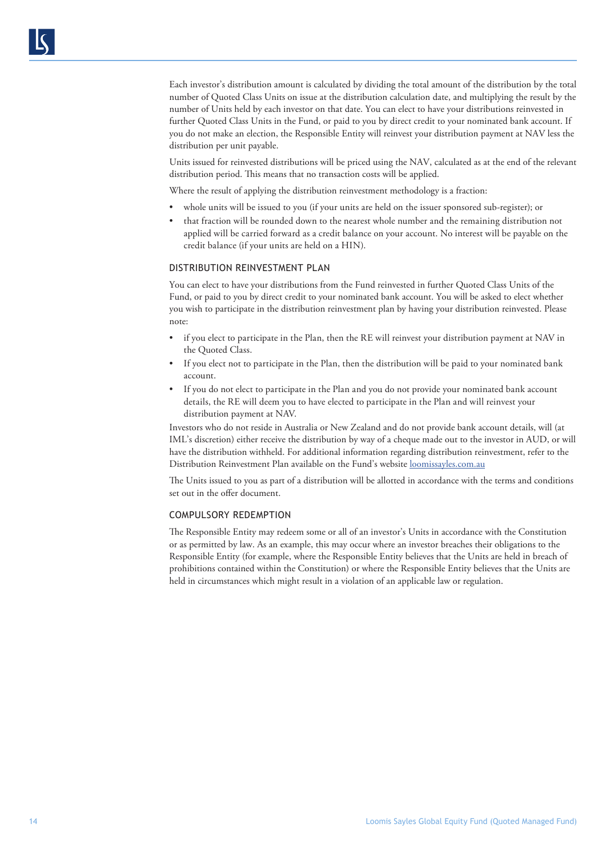Each investor's distribution amount is calculated by dividing the total amount of the distribution by the total number of Quoted Class Units on issue at the distribution calculation date, and multiplying the result by the number of Units held by each investor on that date. You can elect to have your distributions reinvested in further Quoted Class Units in the Fund, or paid to you by direct credit to your nominated bank account. If you do not make an election, the Responsible Entity will reinvest your distribution payment at NAV less the distribution per unit payable.

Units issued for reinvested distributions will be priced using the NAV, calculated as at the end of the relevant distribution period. This means that no transaction costs will be applied.

Where the result of applying the distribution reinvestment methodology is a fraction:

- whole units will be issued to you (if your units are held on the issuer sponsored sub-register); or
- that fraction will be rounded down to the nearest whole number and the remaining distribution not applied will be carried forward as a credit balance on your account. No interest will be payable on the credit balance (if your units are held on a HIN).

#### DISTRIBUTION REINVESTMENT PLAN

You can elect to have your distributions from the Fund reinvested in further Quoted Class Units of the Fund, or paid to you by direct credit to your nominated bank account. You will be asked to elect whether you wish to participate in the distribution reinvestment plan by having your distribution reinvested. Please note:

- if you elect to participate in the Plan, then the RE will reinvest your distribution payment at NAV in the Quoted Class.
- If you elect not to participate in the Plan, then the distribution will be paid to your nominated bank account.
- If you do not elect to participate in the Plan and you do not provide your nominated bank account details, the RE will deem you to have elected to participate in the Plan and will reinvest your distribution payment at NAV.

Investors who do not reside in Australia or New Zealand and do not provide bank account details, will (at IML's discretion) either receive the distribution by way of a cheque made out to the investor in AUD, or will have the distribution withheld. For additional information regarding distribution reinvestment, refer to the Distribution Reinvestment Plan available on the Fund's website loomissayles.com.au

The Units issued to you as part of a distribution will be allotted in accordance with the terms and conditions set out in the offer document.

#### COMPULSORY REDEMPTION

The Responsible Entity may redeem some or all of an investor's Units in accordance with the Constitution or as permitted by law. As an example, this may occur where an investor breaches their obligations to the Responsible Entity (for example, where the Responsible Entity believes that the Units are held in breach of prohibitions contained within the Constitution) or where the Responsible Entity believes that the Units are held in circumstances which might result in a violation of an applicable law or regulation.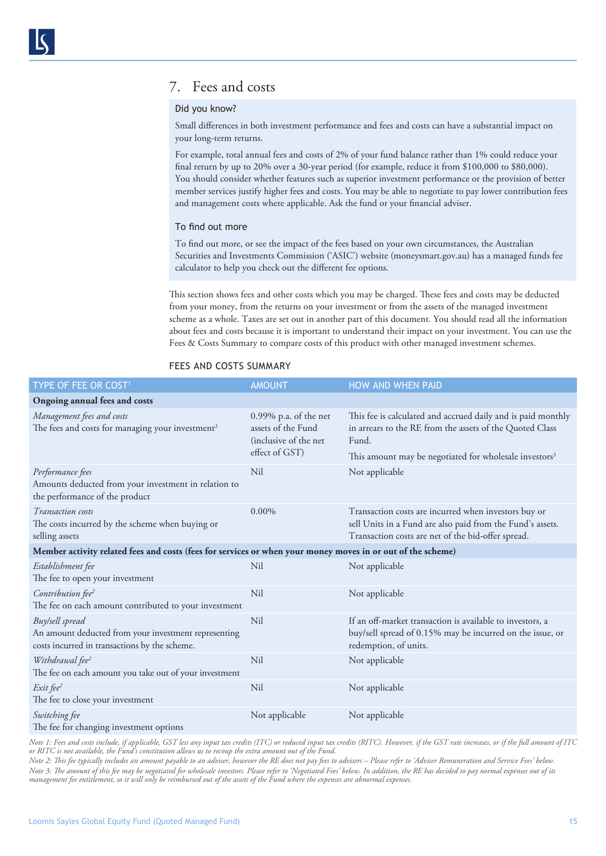### 7. Fees and costs

#### Did you know?

Small differences in both investment performance and fees and costs can have a substantial impact on your long-term returns.

For example, total annual fees and costs of 2% of your fund balance rather than 1% could reduce your final return by up to 20% over a 30-year period (for example, reduce it from \$100,000 to \$80,000). You should consider whether features such as superior investment performance or the provision of better member services justify higher fees and costs. You may be able to negotiate to pay lower contribution fees and management costs where applicable. Ask the fund or your financial adviser.

#### To find out more

To find out more, or see the impact of the fees based on your own circumstances, the Australian Securities and Investments Commission ('ASIC') website (moneysmart.gov.au) has a managed funds fee calculator to help you check out the different fee options.

This section shows fees and other costs which you may be charged. These fees and costs may be deducted from your money, from the returns on your investment or from the assets of the managed investment scheme as a whole. Taxes are set out in another part of this document. You should read all the information about fees and costs because it is important to understand their impact on your investment. You can use the Fees & Costs Summary to compare costs of this product with other managed investment schemes.

| TYPE OF FEE OR COST <sup>1</sup>                                                                                         | <b>AMOUNT</b>                                                                          | <b>HOW AND WHEN PAID</b>                                                                                                                                                                                |  |
|--------------------------------------------------------------------------------------------------------------------------|----------------------------------------------------------------------------------------|---------------------------------------------------------------------------------------------------------------------------------------------------------------------------------------------------------|--|
| Ongoing annual fees and costs                                                                                            |                                                                                        |                                                                                                                                                                                                         |  |
| Management fees and costs<br>The fees and costs for managing your investment <sup>2</sup>                                | 0.99% p.a. of the net<br>assets of the Fund<br>(inclusive of the net<br>effect of GST) | This fee is calculated and accrued daily and is paid monthly<br>in arrears to the RE from the assets of the Quoted Class<br>Fund.<br>This amount may be negotiated for wholesale investors <sup>3</sup> |  |
| Performance fees<br>Amounts deducted from your investment in relation to<br>the performance of the product               | Nil                                                                                    | Not applicable                                                                                                                                                                                          |  |
| Transaction costs<br>The costs incurred by the scheme when buying or<br>selling assets                                   | $0.00\%$                                                                               | Transaction costs are incurred when investors buy or<br>sell Units in a Fund are also paid from the Fund's assets.<br>Transaction costs are net of the bid-offer spread.                                |  |
| Member activity related fees and costs (fees for services or when your money moves in or out of the scheme)              |                                                                                        |                                                                                                                                                                                                         |  |
| Establishment fee<br>The fee to open your investment                                                                     | Nil                                                                                    | Not applicable                                                                                                                                                                                          |  |
| Contribution fee <sup>2</sup><br>The fee on each amount contributed to your investment                                   | Nil                                                                                    | Not applicable                                                                                                                                                                                          |  |
| Buy/sell spread<br>An amount deducted from your investment representing<br>costs incurred in transactions by the scheme. | Nil                                                                                    | If an off-market transaction is available to investors, a<br>buy/sell spread of 0.15% may be incurred on the issue, or<br>redemption, of units.                                                         |  |
| Withdrawal fee <sup>2</sup><br>The fee on each amount you take out of your investment                                    | Nil                                                                                    | Not applicable                                                                                                                                                                                          |  |
| Exit fee <sup>2</sup><br>The fee to close your investment                                                                | Nil                                                                                    | Not applicable                                                                                                                                                                                          |  |
| Switching fee<br>The fee for changing investment options                                                                 | Not applicable                                                                         | Not applicable                                                                                                                                                                                          |  |

#### FEES AND COSTS SUMMARY

*Note 1: Fees and costs include, if applicable, GST less any input tax credits (ITC) or reduced input tax credits (RITC). However, if the GST rate increases, or if the full amount of ITC or RITC is not available, the Fund's constitution allows us to recoup the extra amount out of the Fund.*

*Note 2: This fee typically includes an amount payable to an adviser, however the RE does not pay fees to advisers – Please refer to 'Adviser Remuneration and Service Fees' below. Note 3: The amount of this fee may be negotiated for wholesale investors. Please refer to 'Negotiated Fees' below. In addition, the RE has decided to pay normal expenses out of its management fee entitlement, so it will only be reimbursed out of the assets of the Fund where the expenses are abnormal expenses.*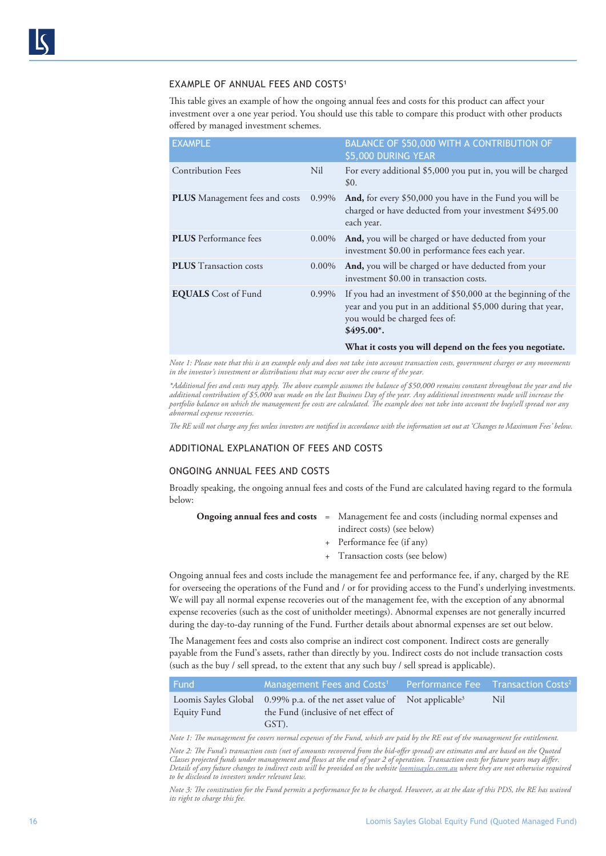#### EXAMPLE OF ANNUAL FEES AND COSTS<sup>1</sup>

This table gives an example of how the ongoing annual fees and costs for this product can affect your investment over a one year period. You should use this table to compare this product with other products offered by managed investment schemes.

| <b>EXAMPLE</b>                        |          | BALANCE OF \$50,000 WITH A CONTRIBUTION OF<br>\$5,000 DURING YEAR                                                                                                             |
|---------------------------------------|----------|-------------------------------------------------------------------------------------------------------------------------------------------------------------------------------|
| <b>Contribution Fees</b>              | Nil      | For every additional \$5,000 you put in, you will be charged<br>\$0.                                                                                                          |
| <b>PLUS</b> Management fees and costs | $0.99\%$ | And, for every \$50,000 you have in the Fund you will be<br>charged or have deducted from your investment \$495.00<br>each year.                                              |
| <b>PLUS</b> Performance fees          | $0.00\%$ | And, you will be charged or have deducted from your<br>investment \$0.00 in performance fees each year.                                                                       |
| <b>PLUS</b> Transaction costs         | $0.00\%$ | And, you will be charged or have deducted from your<br>investment \$0.00 in transaction costs.                                                                                |
| <b>EQUALS</b> Cost of Fund            | 0.99%    | If you had an investment of \$50,000 at the beginning of the<br>year and you put in an additional \$5,000 during that year,<br>you would be charged fees of:<br>$$495.00^*$.$ |
|                                       |          | What it costs you will depend on the fees you negotiate.                                                                                                                      |

*Note 1: Please note that this is an example only and does not take into account transaction costs, government charges or any movements in the investor's investment or distributions that may occur over the course of the year.*

*\*Additional fees and costs may apply. The above example assumes the balance of \$50,000 remains constant throughout the year and the additional contribution of \$5,000 was made on the last Business Day of the year. Any additional investments made will increase the portfolio balance on which the management fee costs are calculated. The example does not take into account the buy/sell spread nor any abnormal expense recoveries.* 

*The RE will not charge any fees unless investors are notified in accordance with the information set out at 'Changes to Maximum Fees' below.*

#### ADDITIONAL EXPLANATION OF FEES AND COSTS

#### ONGOING ANNUAL FEES AND COSTS

Broadly speaking, the ongoing annual fees and costs of the Fund are calculated having regard to the formula below:

|  | <b>Ongoing annual fees and costs</b> = Management fee and costs (including normal expenses and   |
|--|--------------------------------------------------------------------------------------------------|
|  | indirect costs) (see below)                                                                      |
|  | + Performance fee (if any)                                                                       |
|  | + Transaction costs (see below)                                                                  |
|  | no annual fees and costs include the management fee and performance fee, if any charged by the I |

Ongoing annual fees and costs include the management fee and performance fee, if any, charged by the RE for overseeing the operations of the Fund and / or for providing access to the Fund's underlying investments. We will pay all normal expense recoveries out of the management fee, with the exception of any abnormal expense recoveries (such as the cost of unitholder meetings). Abnormal expenses are not generally incurred during the day-to-day running of the Fund. Further details about abnormal expenses are set out below.

The Management fees and costs also comprise an indirect cost component. Indirect costs are generally payable from the Fund's assets, rather than directly by you. Indirect costs do not include transaction costs (such as the buy / sell spread, to the extent that any such buy / sell spread is applicable).

| <b>Fund</b> | Management Fees and Costs <sup>1</sup>                                                |  | Performance Fee Transaction Costs <sup>2</sup> |
|-------------|---------------------------------------------------------------------------------------|--|------------------------------------------------|
|             | Loomis Sayles Global 0.99% p.a. of the net asset value of Not applicable <sup>3</sup> |  | Nil                                            |
| Equity Fund | the Fund (inclusive of net effect of                                                  |  |                                                |
|             | GST).                                                                                 |  |                                                |

*Note 1: The management fee covers normal expenses of the Fund, which are paid by the RE out of the management fee entitlement.*

*Note 2: The Fund's transaction costs (net of amounts recovered from the bid-offer spread) are estimates and are based on the Quoted Classes projected funds under management and flows at the end of year 2 of operation. Transaction costs for future years may differ. Details of any future changes to indirect costs will be provided on the website loomissayles.com.au where they are not otherwise required to be disclosed to investors under relevant law.*

*Note 3: The constitution for the Fund permits a performance fee to be charged. However, as at the date of this PDS, the RE has waived its right to charge this fee.*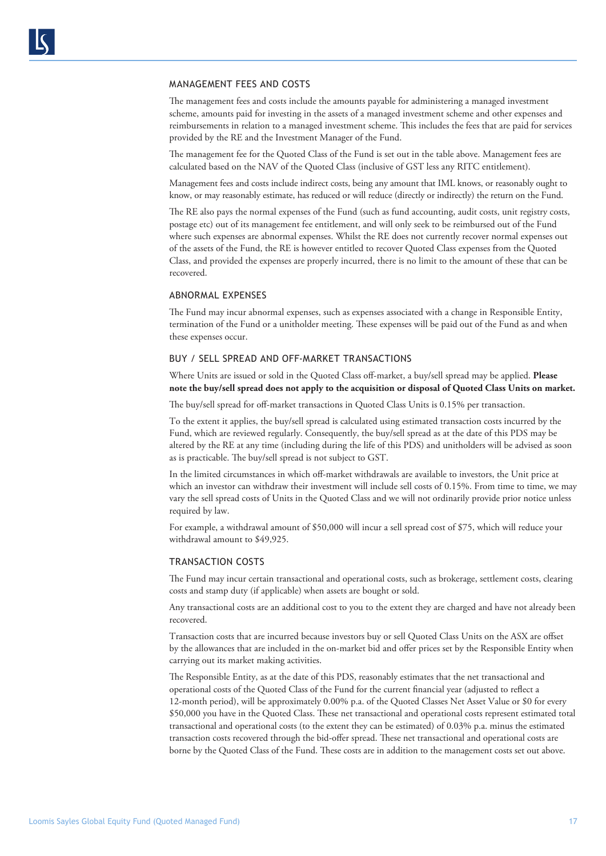#### MANAGEMENT FEES AND COSTS

The management fees and costs include the amounts payable for administering a managed investment scheme, amounts paid for investing in the assets of a managed investment scheme and other expenses and reimbursements in relation to a managed investment scheme. This includes the fees that are paid for services provided by the RE and the Investment Manager of the Fund.

The management fee for the Quoted Class of the Fund is set out in the table above. Management fees are calculated based on the NAV of the Quoted Class (inclusive of GST less any RITC entitlement).

Management fees and costs include indirect costs, being any amount that IML knows, or reasonably ought to know, or may reasonably estimate, has reduced or will reduce (directly or indirectly) the return on the Fund.

The RE also pays the normal expenses of the Fund (such as fund accounting, audit costs, unit registry costs, postage etc) out of its management fee entitlement, and will only seek to be reimbursed out of the Fund where such expenses are abnormal expenses. Whilst the RE does not currently recover normal expenses out of the assets of the Fund, the RE is however entitled to recover Quoted Class expenses from the Quoted Class, and provided the expenses are properly incurred, there is no limit to the amount of these that can be recovered.

#### ABNORMAL EXPENSES

The Fund may incur abnormal expenses, such as expenses associated with a change in Responsible Entity, termination of the Fund or a unitholder meeting. These expenses will be paid out of the Fund as and when these expenses occur.

#### BUY / SELL SPREAD AND OFF-MARKET TRANSACTIONS

Where Units are issued or sold in the Quoted Class off-market, a buy/sell spread may be applied. **Please note the buy/sell spread does not apply to the acquisition or disposal of Quoted Class Units on market.**

The buy/sell spread for off-market transactions in Quoted Class Units is 0.15% per transaction.

To the extent it applies, the buy/sell spread is calculated using estimated transaction costs incurred by the Fund, which are reviewed regularly. Consequently, the buy/sell spread as at the date of this PDS may be altered by the RE at any time (including during the life of this PDS) and unitholders will be advised as soon as is practicable. The buy/sell spread is not subject to GST.

In the limited circumstances in which off-market withdrawals are available to investors, the Unit price at which an investor can withdraw their investment will include sell costs of 0.15%. From time to time, we may vary the sell spread costs of Units in the Quoted Class and we will not ordinarily provide prior notice unless required by law.

For example, a withdrawal amount of \$50,000 will incur a sell spread cost of \$75, which will reduce your withdrawal amount to \$49,925.

#### TRANSACTION COSTS

The Fund may incur certain transactional and operational costs, such as brokerage, settlement costs, clearing costs and stamp duty (if applicable) when assets are bought or sold.

Any transactional costs are an additional cost to you to the extent they are charged and have not already been recovered.

Transaction costs that are incurred because investors buy or sell Quoted Class Units on the ASX are offset by the allowances that are included in the on-market bid and offer prices set by the Responsible Entity when carrying out its market making activities.

The Responsible Entity, as at the date of this PDS, reasonably estimates that the net transactional and operational costs of the Quoted Class of the Fund for the current financial year (adjusted to reflect a 12-month period), will be approximately 0.00% p.a. of the Quoted Classes Net Asset Value or \$0 for every \$50,000 you have in the Quoted Class. These net transactional and operational costs represent estimated total transactional and operational costs (to the extent they can be estimated) of 0.03% p.a. minus the estimated transaction costs recovered through the bid-offer spread. These net transactional and operational costs are borne by the Quoted Class of the Fund. These costs are in addition to the management costs set out above.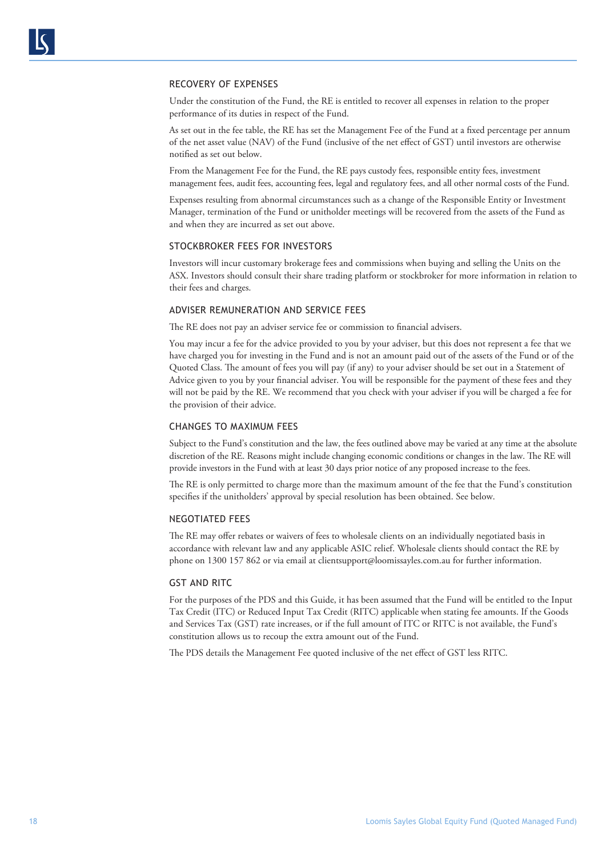#### RECOVERY OF EXPENSES

Under the constitution of the Fund, the RE is entitled to recover all expenses in relation to the proper performance of its duties in respect of the Fund.

As set out in the fee table, the RE has set the Management Fee of the Fund at a fixed percentage per annum of the net asset value (NAV) of the Fund (inclusive of the net effect of GST) until investors are otherwise notified as set out below.

From the Management Fee for the Fund, the RE pays custody fees, responsible entity fees, investment management fees, audit fees, accounting fees, legal and regulatory fees, and all other normal costs of the Fund.

Expenses resulting from abnormal circumstances such as a change of the Responsible Entity or Investment Manager, termination of the Fund or unitholder meetings will be recovered from the assets of the Fund as and when they are incurred as set out above.

#### STOCKBROKER FEES FOR INVESTORS

Investors will incur customary brokerage fees and commissions when buying and selling the Units on the ASX. Investors should consult their share trading platform or stockbroker for more information in relation to their fees and charges.

#### ADVISER REMUNERATION AND SERVICE FEES

The RE does not pay an adviser service fee or commission to financial advisers.

You may incur a fee for the advice provided to you by your adviser, but this does not represent a fee that we have charged you for investing in the Fund and is not an amount paid out of the assets of the Fund or of the Quoted Class. The amount of fees you will pay (if any) to your adviser should be set out in a Statement of Advice given to you by your financial adviser. You will be responsible for the payment of these fees and they will not be paid by the RE. We recommend that you check with your adviser if you will be charged a fee for the provision of their advice.

#### CHANGES TO MAXIMUM FEES

Subject to the Fund's constitution and the law, the fees outlined above may be varied at any time at the absolute discretion of the RE. Reasons might include changing economic conditions or changes in the law. The RE will provide investors in the Fund with at least 30 days prior notice of any proposed increase to the fees.

The RE is only permitted to charge more than the maximum amount of the fee that the Fund's constitution specifies if the unitholders' approval by special resolution has been obtained. See below.

#### NEGOTIATED FEES

The RE may offer rebates or waivers of fees to wholesale clients on an individually negotiated basis in accordance with relevant law and any applicable ASIC relief. Wholesale clients should contact the RE by phone on 1300 157 862 or via email at clientsupport@loomissayles.com.au for further information.

#### GST AND RITC

For the purposes of the PDS and this Guide, it has been assumed that the Fund will be entitled to the Input Tax Credit (ITC) or Reduced Input Tax Credit (RITC) applicable when stating fee amounts. If the Goods and Services Tax (GST) rate increases, or if the full amount of ITC or RITC is not available, the Fund's constitution allows us to recoup the extra amount out of the Fund.

The PDS details the Management Fee quoted inclusive of the net effect of GST less RITC.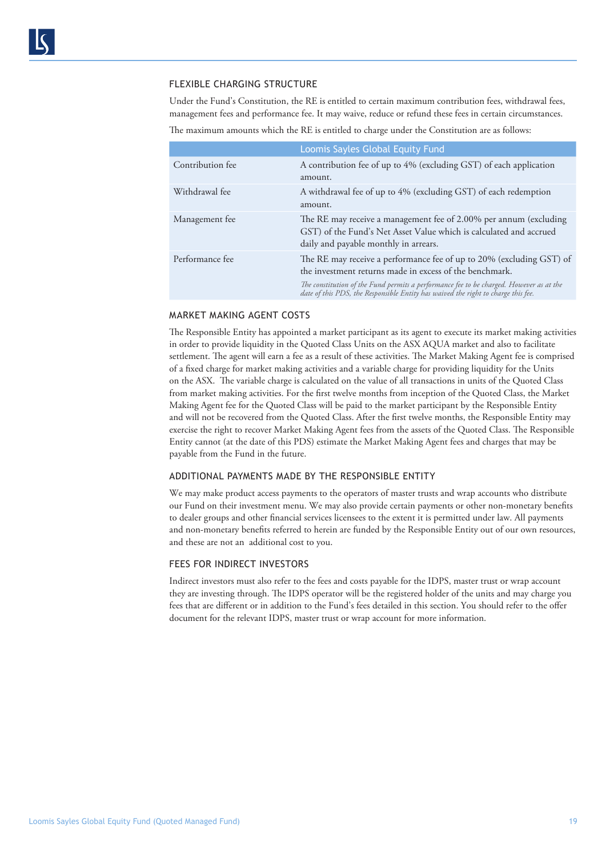#### FLEXIBLE CHARGING STRUCTURE

Under the Fund's Constitution, the RE is entitled to certain maximum contribution fees, withdrawal fees, management fees and performance fee. It may waive, reduce or refund these fees in certain circumstances.

The maximum amounts which the RE is entitled to charge under the Constitution are as follows:

|                  | Loomis Sayles Global Equity Fund                                                                                                                                                 |
|------------------|----------------------------------------------------------------------------------------------------------------------------------------------------------------------------------|
| Contribution fee | A contribution fee of up to 4% (excluding GST) of each application<br>amount.                                                                                                    |
| Withdrawal fee   | A withdrawal fee of up to 4% (excluding GST) of each redemption<br>amount.                                                                                                       |
| Management fee   | The RE may receive a management fee of 2.00% per annum (excluding<br>GST) of the Fund's Net Asset Value which is calculated and accrued<br>daily and payable monthly in arrears. |
| Performance fee  | The RE may receive a performance fee of up to 20% (excluding GST) of<br>the investment returns made in excess of the benchmark.                                                  |
|                  | The constitution of the Fund permits a performance fee to be charged. However as at the<br>date of this PDS, the Responsible Entity has waived the right to charge this fee.     |

#### MARKET MAKING AGENT COSTS

The Responsible Entity has appointed a market participant as its agent to execute its market making activities in order to provide liquidity in the Quoted Class Units on the ASX AQUA market and also to facilitate settlement. The agent will earn a fee as a result of these activities. The Market Making Agent fee is comprised of a fixed charge for market making activities and a variable charge for providing liquidity for the Units on the ASX. The variable charge is calculated on the value of all transactions in units of the Quoted Class from market making activities. For the first twelve months from inception of the Quoted Class, the Market Making Agent fee for the Quoted Class will be paid to the market participant by the Responsible Entity and will not be recovered from the Quoted Class. After the first twelve months, the Responsible Entity may exercise the right to recover Market Making Agent fees from the assets of the Quoted Class. The Responsible Entity cannot (at the date of this PDS) estimate the Market Making Agent fees and charges that may be payable from the Fund in the future.

#### ADDITIONAL PAYMENTS MADE BY THE RESPONSIBLE ENTITY

We may make product access payments to the operators of master trusts and wrap accounts who distribute our Fund on their investment menu. We may also provide certain payments or other non-monetary benefits to dealer groups and other financial services licensees to the extent it is permitted under law. All payments and non-monetary benefits referred to herein are funded by the Responsible Entity out of our own resources, and these are not an additional cost to you.

#### FEES FOR INDIRECT INVESTORS

Indirect investors must also refer to the fees and costs payable for the IDPS, master trust or wrap account they are investing through. The IDPS operator will be the registered holder of the units and may charge you fees that are different or in addition to the Fund's fees detailed in this section. You should refer to the offer document for the relevant IDPS, master trust or wrap account for more information.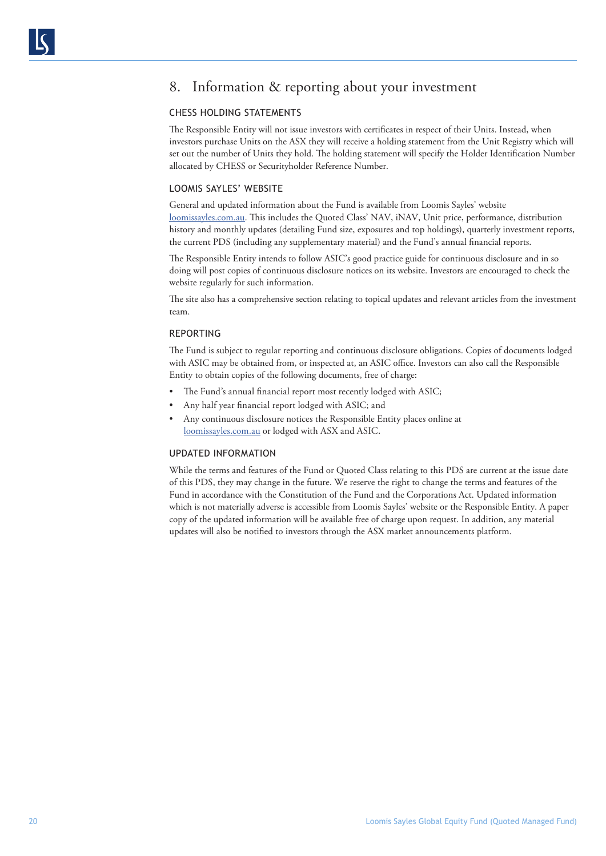### 8. Information & reporting about your investment

#### CHESS HOLDING STATEMENTS

The Responsible Entity will not issue investors with certificates in respect of their Units. Instead, when investors purchase Units on the ASX they will receive a holding statement from the Unit Registry which will set out the number of Units they hold. The holding statement will specify the Holder Identification Number allocated by CHESS or Securityholder Reference Number.

#### LOOMIS SAYLES' WEBSITE

General and updated information about the Fund is available from Loomis Sayles' website loomissayles.com.au. This includes the Quoted Class' NAV, iNAV, Unit price, performance, distribution history and monthly updates (detailing Fund size, exposures and top holdings), quarterly investment reports, the current PDS (including any supplementary material) and the Fund's annual financial reports.

The Responsible Entity intends to follow ASIC's good practice guide for continuous disclosure and in so doing will post copies of continuous disclosure notices on its website. Investors are encouraged to check the website regularly for such information.

The site also has a comprehensive section relating to topical updates and relevant articles from the investment team.

#### REPORTING

The Fund is subject to regular reporting and continuous disclosure obligations. Copies of documents lodged with ASIC may be obtained from, or inspected at, an ASIC office. Investors can also call the Responsible Entity to obtain copies of the following documents, free of charge:

- The Fund's annual financial report most recently lodged with ASIC;
- Any half year financial report lodged with ASIC; and
- Any continuous disclosure notices the Responsible Entity places online at loomissayles.com.au or lodged with ASX and ASIC.

#### UPDATED INFORMATION

While the terms and features of the Fund or Quoted Class relating to this PDS are current at the issue date of this PDS, they may change in the future. We reserve the right to change the terms and features of the Fund in accordance with the Constitution of the Fund and the Corporations Act. Updated information which is not materially adverse is accessible from Loomis Sayles' website or the Responsible Entity. A paper copy of the updated information will be available free of charge upon request. In addition, any material updates will also be notified to investors through the ASX market announcements platform.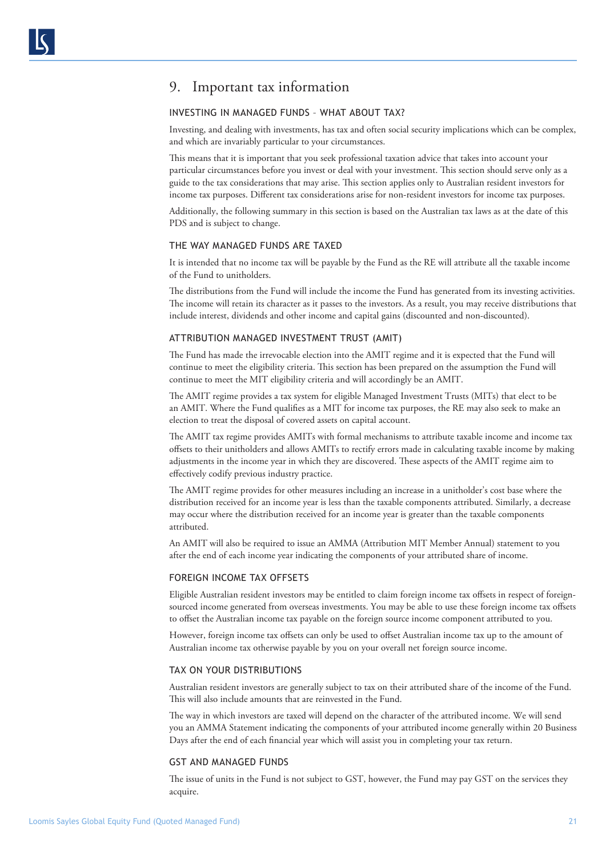### 9. Important tax information

#### INVESTING IN MANAGED FUNDS – WHAT ABOUT TAX?

Investing, and dealing with investments, has tax and often social security implications which can be complex, and which are invariably particular to your circumstances.

This means that it is important that you seek professional taxation advice that takes into account your particular circumstances before you invest or deal with your investment. This section should serve only as a guide to the tax considerations that may arise. This section applies only to Australian resident investors for income tax purposes. Different tax considerations arise for non-resident investors for income tax purposes.

Additionally, the following summary in this section is based on the Australian tax laws as at the date of this PDS and is subject to change.

#### THE WAY MANAGED FUNDS ARE TAXED

It is intended that no income tax will be payable by the Fund as the RE will attribute all the taxable income of the Fund to unitholders.

The distributions from the Fund will include the income the Fund has generated from its investing activities. The income will retain its character as it passes to the investors. As a result, you may receive distributions that include interest, dividends and other income and capital gains (discounted and non-discounted).

#### ATTRIBUTION MANAGED INVESTMENT TRUST (AMIT)

The Fund has made the irrevocable election into the AMIT regime and it is expected that the Fund will continue to meet the eligibility criteria. This section has been prepared on the assumption the Fund will continue to meet the MIT eligibility criteria and will accordingly be an AMIT.

The AMIT regime provides a tax system for eligible Managed Investment Trusts (MITs) that elect to be an AMIT. Where the Fund qualifies as a MIT for income tax purposes, the RE may also seek to make an election to treat the disposal of covered assets on capital account.

The AMIT tax regime provides AMITs with formal mechanisms to attribute taxable income and income tax offsets to their unitholders and allows AMITs to rectify errors made in calculating taxable income by making adjustments in the income year in which they are discovered. These aspects of the AMIT regime aim to effectively codify previous industry practice.

The AMIT regime provides for other measures including an increase in a unitholder's cost base where the distribution received for an income year is less than the taxable components attributed. Similarly, a decrease may occur where the distribution received for an income year is greater than the taxable components attributed.

An AMIT will also be required to issue an AMMA (Attribution MIT Member Annual) statement to you after the end of each income year indicating the components of your attributed share of income.

#### FOREIGN INCOME TAX OFFSETS

Eligible Australian resident investors may be entitled to claim foreign income tax offsets in respect of foreignsourced income generated from overseas investments. You may be able to use these foreign income tax offsets to offset the Australian income tax payable on the foreign source income component attributed to you.

However, foreign income tax offsets can only be used to offset Australian income tax up to the amount of Australian income tax otherwise payable by you on your overall net foreign source income.

#### TAX ON YOUR DISTRIBUTIONS

Australian resident investors are generally subject to tax on their attributed share of the income of the Fund. This will also include amounts that are reinvested in the Fund.

The way in which investors are taxed will depend on the character of the attributed income. We will send you an AMMA Statement indicating the components of your attributed income generally within 20 Business Days after the end of each financial year which will assist you in completing your tax return.

#### GST AND MANAGED FUNDS

The issue of units in the Fund is not subject to GST, however, the Fund may pay GST on the services they acquire.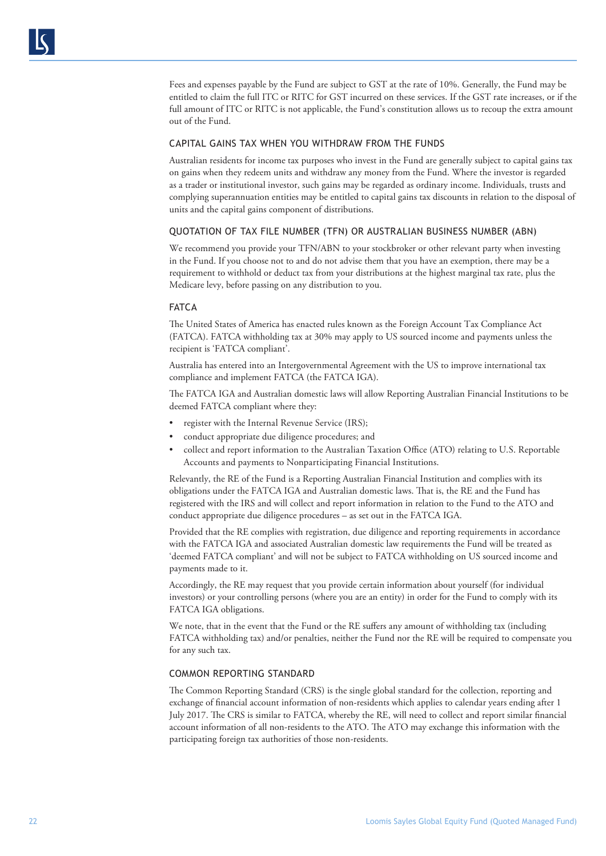Fees and expenses payable by the Fund are subject to GST at the rate of 10%. Generally, the Fund may be entitled to claim the full ITC or RITC for GST incurred on these services. If the GST rate increases, or if the full amount of ITC or RITC is not applicable, the Fund's constitution allows us to recoup the extra amount out of the Fund.

#### CAPITAL GAINS TAX WHEN YOU WITHDRAW FROM THE FUNDS

Australian residents for income tax purposes who invest in the Fund are generally subject to capital gains tax on gains when they redeem units and withdraw any money from the Fund. Where the investor is regarded as a trader or institutional investor, such gains may be regarded as ordinary income. Individuals, trusts and complying superannuation entities may be entitled to capital gains tax discounts in relation to the disposal of units and the capital gains component of distributions.

#### QUOTATION OF TAX FILE NUMBER (TFN) OR AUSTRALIAN BUSINESS NUMBER (ABN)

We recommend you provide your TFN/ABN to your stockbroker or other relevant party when investing in the Fund. If you choose not to and do not advise them that you have an exemption, there may be a requirement to withhold or deduct tax from your distributions at the highest marginal tax rate, plus the Medicare levy, before passing on any distribution to you.

#### FATCA

The United States of America has enacted rules known as the Foreign Account Tax Compliance Act (FATCA). FATCA withholding tax at 30% may apply to US sourced income and payments unless the recipient is 'FATCA compliant'.

Australia has entered into an Intergovernmental Agreement with the US to improve international tax compliance and implement FATCA (the FATCA IGA).

The FATCA IGA and Australian domestic laws will allow Reporting Australian Financial Institutions to be deemed FATCA compliant where they:

- register with the Internal Revenue Service (IRS);
- conduct appropriate due diligence procedures; and
- collect and report information to the Australian Taxation Office (ATO) relating to U.S. Reportable Accounts and payments to Nonparticipating Financial Institutions.

Relevantly, the RE of the Fund is a Reporting Australian Financial Institution and complies with its obligations under the FATCA IGA and Australian domestic laws. That is, the RE and the Fund has registered with the IRS and will collect and report information in relation to the Fund to the ATO and conduct appropriate due diligence procedures – as set out in the FATCA IGA.

Provided that the RE complies with registration, due diligence and reporting requirements in accordance with the FATCA IGA and associated Australian domestic law requirements the Fund will be treated as 'deemed FATCA compliant' and will not be subject to FATCA withholding on US sourced income and payments made to it.

Accordingly, the RE may request that you provide certain information about yourself (for individual investors) or your controlling persons (where you are an entity) in order for the Fund to comply with its FATCA IGA obligations.

We note, that in the event that the Fund or the RE suffers any amount of withholding tax (including FATCA withholding tax) and/or penalties, neither the Fund nor the RE will be required to compensate you for any such tax.

#### COMMON REPORTING STANDARD

The Common Reporting Standard (CRS) is the single global standard for the collection, reporting and exchange of financial account information of non-residents which applies to calendar years ending after 1 July 2017. The CRS is similar to FATCA, whereby the RE, will need to collect and report similar financial account information of all non-residents to the ATO. The ATO may exchange this information with the participating foreign tax authorities of those non-residents.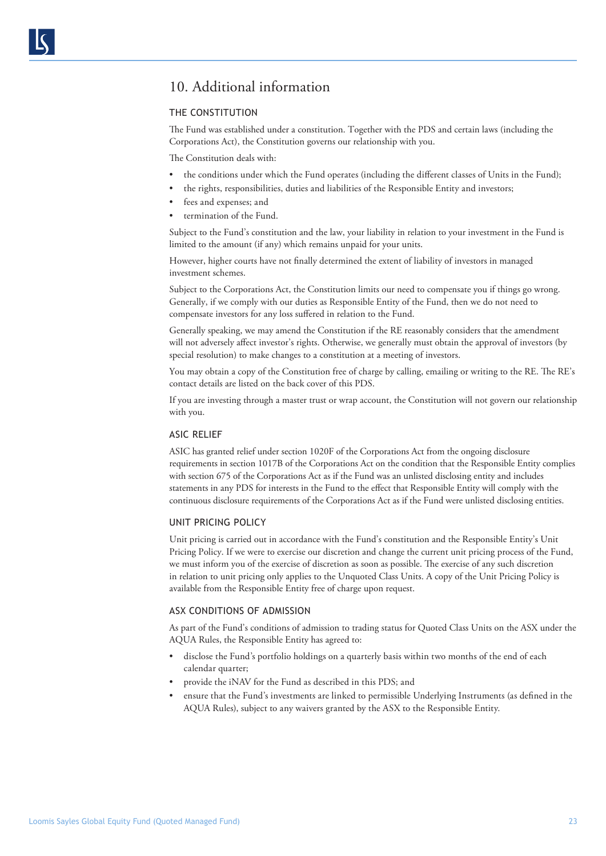### 10. Additional information

#### THE CONSTITUTION

The Fund was established under a constitution. Together with the PDS and certain laws (including the Corporations Act), the Constitution governs our relationship with you.

The Constitution deals with:

- the conditions under which the Fund operates (including the different classes of Units in the Fund);
- the rights, responsibilities, duties and liabilities of the Responsible Entity and investors;
- fees and expenses; and
- termination of the Fund.

Subject to the Fund's constitution and the law, your liability in relation to your investment in the Fund is limited to the amount (if any) which remains unpaid for your units.

However, higher courts have not finally determined the extent of liability of investors in managed investment schemes.

Subject to the Corporations Act, the Constitution limits our need to compensate you if things go wrong. Generally, if we comply with our duties as Responsible Entity of the Fund, then we do not need to compensate investors for any loss suffered in relation to the Fund.

Generally speaking, we may amend the Constitution if the RE reasonably considers that the amendment will not adversely affect investor's rights. Otherwise, we generally must obtain the approval of investors (by special resolution) to make changes to a constitution at a meeting of investors.

You may obtain a copy of the Constitution free of charge by calling, emailing or writing to the RE. The RE's contact details are listed on the back cover of this PDS.

If you are investing through a master trust or wrap account, the Constitution will not govern our relationship with you.

#### ASIC RELIEF

ASIC has granted relief under section 1020F of the Corporations Act from the ongoing disclosure requirements in section 1017B of the Corporations Act on the condition that the Responsible Entity complies with section 675 of the Corporations Act as if the Fund was an unlisted disclosing entity and includes statements in any PDS for interests in the Fund to the effect that Responsible Entity will comply with the continuous disclosure requirements of the Corporations Act as if the Fund were unlisted disclosing entities.

#### UNIT PRICING POLICY

Unit pricing is carried out in accordance with the Fund's constitution and the Responsible Entity's Unit Pricing Policy. If we were to exercise our discretion and change the current unit pricing process of the Fund, we must inform you of the exercise of discretion as soon as possible. The exercise of any such discretion in relation to unit pricing only applies to the Unquoted Class Units. A copy of the Unit Pricing Policy is available from the Responsible Entity free of charge upon request.

#### ASX CONDITIONS OF ADMISSION

As part of the Fund's conditions of admission to trading status for Quoted Class Units on the ASX under the AQUA Rules, the Responsible Entity has agreed to:

- disclose the Fund's portfolio holdings on a quarterly basis within two months of the end of each calendar quarter;
- provide the iNAV for the Fund as described in this PDS; and
- ensure that the Fund's investments are linked to permissible Underlying Instruments (as defined in the AQUA Rules), subject to any waivers granted by the ASX to the Responsible Entity.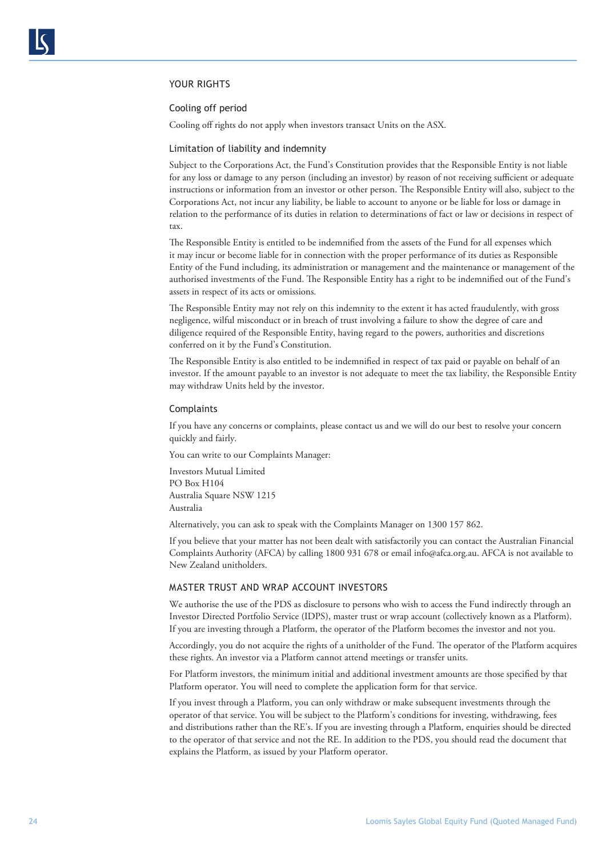#### YOUR RIGHTS

#### Cooling off period

Cooling off rights do not apply when investors transact Units on the ASX.

#### Limitation of liability and indemnity

Subject to the Corporations Act, the Fund's Constitution provides that the Responsible Entity is not liable for any loss or damage to any person (including an investor) by reason of not receiving sufficient or adequate instructions or information from an investor or other person. The Responsible Entity will also, subject to the Corporations Act, not incur any liability, be liable to account to anyone or be liable for loss or damage in relation to the performance of its duties in relation to determinations of fact or law or decisions in respect of tax.

The Responsible Entity is entitled to be indemnified from the assets of the Fund for all expenses which it may incur or become liable for in connection with the proper performance of its duties as Responsible Entity of the Fund including, its administration or management and the maintenance or management of the authorised investments of the Fund. The Responsible Entity has a right to be indemnified out of the Fund's assets in respect of its acts or omissions.

The Responsible Entity may not rely on this indemnity to the extent it has acted fraudulently, with gross negligence, wilful misconduct or in breach of trust involving a failure to show the degree of care and diligence required of the Responsible Entity, having regard to the powers, authorities and discretions conferred on it by the Fund's Constitution.

The Responsible Entity is also entitled to be indemnified in respect of tax paid or payable on behalf of an investor. If the amount payable to an investor is not adequate to meet the tax liability, the Responsible Entity may withdraw Units held by the investor.

#### Complaints

If you have any concerns or complaints, please contact us and we will do our best to resolve your concern quickly and fairly.

You can write to our Complaints Manager:

Investors Mutual Limited PO Box H104 Australia Square NSW 1215 Australia

Alternatively, you can ask to speak with the Complaints Manager on 1300 157 862.

If you believe that your matter has not been dealt with satisfactorily you can contact the Australian Financial Complaints Authority (AFCA) by calling 1800 931 678 or email info@afca.org.au. AFCA is not available to New Zealand unitholders.

#### MASTER TRUST AND WRAP ACCOUNT INVESTORS

We authorise the use of the PDS as disclosure to persons who wish to access the Fund indirectly through an Investor Directed Portfolio Service (IDPS), master trust or wrap account (collectively known as a Platform). If you are investing through a Platform, the operator of the Platform becomes the investor and not you.

Accordingly, you do not acquire the rights of a unitholder of the Fund. The operator of the Platform acquires these rights. An investor via a Platform cannot attend meetings or transfer units.

For Platform investors, the minimum initial and additional investment amounts are those specified by that Platform operator. You will need to complete the application form for that service.

If you invest through a Platform, you can only withdraw or make subsequent investments through the operator of that service. You will be subject to the Platform's conditions for investing, withdrawing, fees and distributions rather than the RE's. If you are investing through a Platform, enquiries should be directed to the operator of that service and not the RE. In addition to the PDS, you should read the document that explains the Platform, as issued by your Platform operator.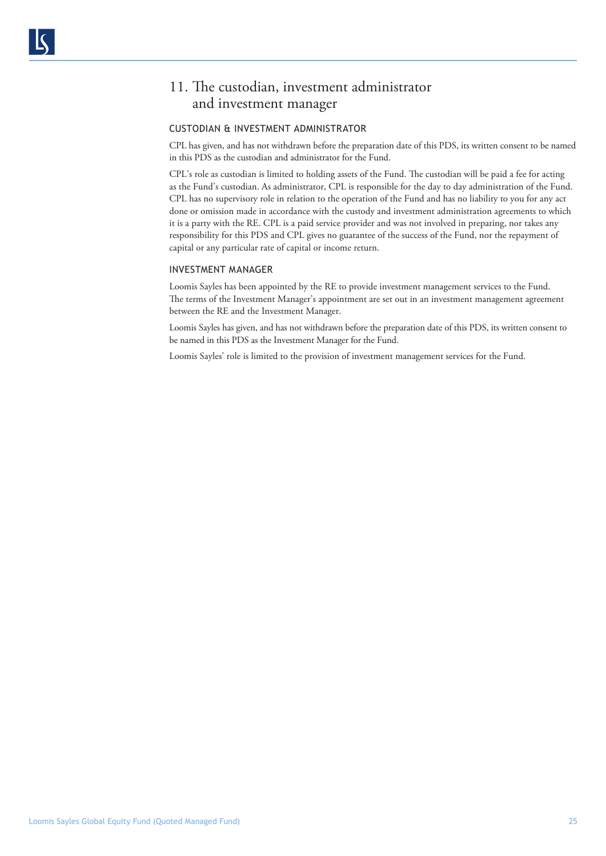## 11. The custodian, investment administrator and investment manager

#### CUSTODIAN & INVESTMENT ADMINISTRATOR

CPL has given, and has not withdrawn before the preparation date of this PDS, its written consent to be named in this PDS as the custodian and administrator for the Fund.

CPL's role as custodian is limited to holding assets of the Fund. The custodian will be paid a fee for acting as the Fund's custodian. As administrator, CPL is responsible for the day to day administration of the Fund. CPL has no supervisory role in relation to the operation of the Fund and has no liability to you for any act done or omission made in accordance with the custody and investment administration agreements to which it is a party with the RE. CPL is a paid service provider and was not involved in preparing, nor takes any responsibility for this PDS and CPL gives no guarantee of the success of the Fund, nor the repayment of capital or any particular rate of capital or income return.

#### INVESTMENT MANAGER

Loomis Sayles has been appointed by the RE to provide investment management services to the Fund. The terms of the Investment Manager's appointment are set out in an investment management agreement between the RE and the Investment Manager.

Loomis Sayles has given, and has not withdrawn before the preparation date of this PDS, its written consent to be named in this PDS as the Investment Manager for the Fund.

Loomis Sayles' role is limited to the provision of investment management services for the Fund.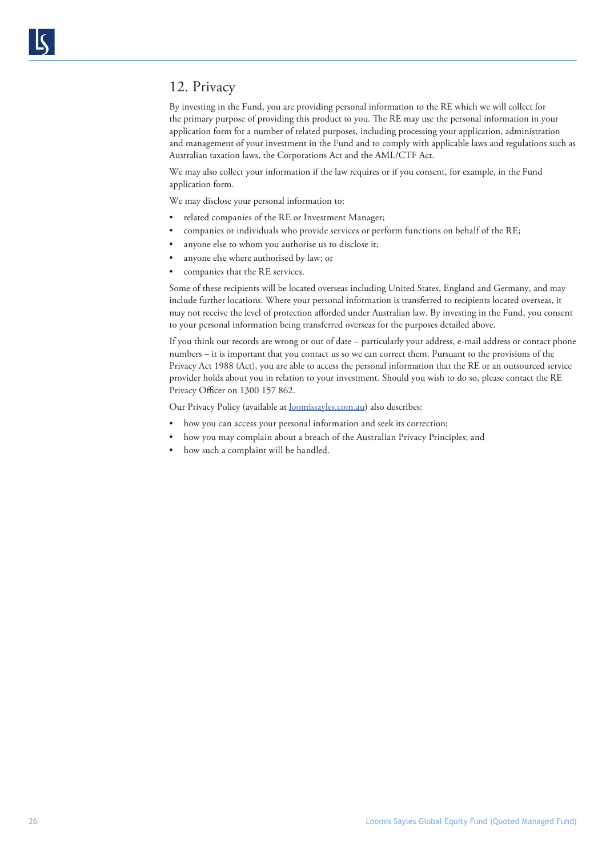### 12. Privacy

By investing in the Fund, you are providing personal information to the RE which we will collect for the primary purpose of providing this product to you. The RE may use the personal information in your application form for a number of related purposes, including processing your application, administration and management of your investment in the Fund and to comply with applicable laws and regulations such as Australian taxation laws, the Corporations Act and the AML/CTF Act.

We may also collect your information if the law requires or if you consent, for example, in the Fund application form.

We may disclose your personal information to:

- related companies of the RE or Investment Manager;
- companies or individuals who provide services or perform functions on behalf of the RE;
- anyone else to whom you authorise us to disclose it;
- anyone else where authorised by law; or
- companies that the RE services.

Some of these recipients will be located overseas including United States, England and Germany, and may include further locations. Where your personal information is transferred to recipients located overseas, it may not receive the level of protection afforded under Australian law. By investing in the Fund, you consent to your personal information being transferred overseas for the purposes detailed above.

If you think our records are wrong or out of date – particularly your address, e-mail address or contact phone numbers – it is important that you contact us so we can correct them. Pursuant to the provisions of the Privacy Act 1988 (Act), you are able to access the personal information that the RE or an outsourced service provider holds about you in relation to your investment. Should you wish to do so, please contact the RE Privacy Officer on 1300 157 862.

Our Privacy Policy (available at loomissayles.com.au) also describes:

- how you can access your personal information and seek its correction;
- how you may complain about a breach of the Australian Privacy Principles; and
- how such a complaint will be handled.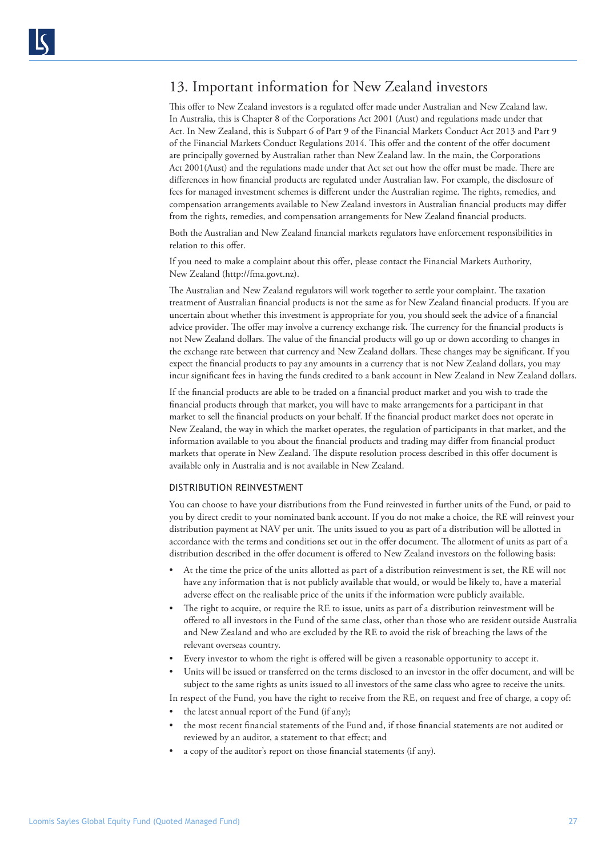### 13. Important information for New Zealand investors

This offer to New Zealand investors is a regulated offer made under Australian and New Zealand law. In Australia, this is Chapter 8 of the Corporations Act 2001 (Aust) and regulations made under that Act. In New Zealand, this is Subpart 6 of Part 9 of the Financial Markets Conduct Act 2013 and Part 9 of the Financial Markets Conduct Regulations 2014. This offer and the content of the offer document are principally governed by Australian rather than New Zealand law. In the main, the Corporations Act 2001(Aust) and the regulations made under that Act set out how the offer must be made. There are differences in how financial products are regulated under Australian law. For example, the disclosure of fees for managed investment schemes is different under the Australian regime. The rights, remedies, and compensation arrangements available to New Zealand investors in Australian financial products may differ from the rights, remedies, and compensation arrangements for New Zealand financial products.

Both the Australian and New Zealand financial markets regulators have enforcement responsibilities in relation to this offer.

If you need to make a complaint about this offer, please contact the Financial Markets Authority, New Zealand (http://fma.govt.nz).

The Australian and New Zealand regulators will work together to settle your complaint. The taxation treatment of Australian financial products is not the same as for New Zealand financial products. If you are uncertain about whether this investment is appropriate for you, you should seek the advice of a financial advice provider. The offer may involve a currency exchange risk. The currency for the financial products is not New Zealand dollars. The value of the financial products will go up or down according to changes in the exchange rate between that currency and New Zealand dollars. These changes may be significant. If you expect the financial products to pay any amounts in a currency that is not New Zealand dollars, you may incur significant fees in having the funds credited to a bank account in New Zealand in New Zealand dollars.

If the financial products are able to be traded on a financial product market and you wish to trade the financial products through that market, you will have to make arrangements for a participant in that market to sell the financial products on your behalf. If the financial product market does not operate in New Zealand, the way in which the market operates, the regulation of participants in that market, and the information available to you about the financial products and trading may differ from financial product markets that operate in New Zealand. The dispute resolution process described in this offer document is available only in Australia and is not available in New Zealand.

#### DISTRIBUTION REINVESTMENT

You can choose to have your distributions from the Fund reinvested in further units of the Fund, or paid to you by direct credit to your nominated bank account. If you do not make a choice, the RE will reinvest your distribution payment at NAV per unit. The units issued to you as part of a distribution will be allotted in accordance with the terms and conditions set out in the offer document. The allotment of units as part of a distribution described in the offer document is offered to New Zealand investors on the following basis:

- At the time the price of the units allotted as part of a distribution reinvestment is set, the RE will not have any information that is not publicly available that would, or would be likely to, have a material adverse effect on the realisable price of the units if the information were publicly available.
- The right to acquire, or require the RE to issue, units as part of a distribution reinvestment will be offered to all investors in the Fund of the same class, other than those who are resident outside Australia and New Zealand and who are excluded by the RE to avoid the risk of breaching the laws of the relevant overseas country.
- Every investor to whom the right is offered will be given a reasonable opportunity to accept it.
- Units will be issued or transferred on the terms disclosed to an investor in the offer document, and will be subject to the same rights as units issued to all investors of the same class who agree to receive the units.

In respect of the Fund, you have the right to receive from the RE, on request and free of charge, a copy of:

- the latest annual report of the Fund (if any);
- the most recent financial statements of the Fund and, if those financial statements are not audited or reviewed by an auditor, a statement to that effect; and
- a copy of the auditor's report on those financial statements (if any).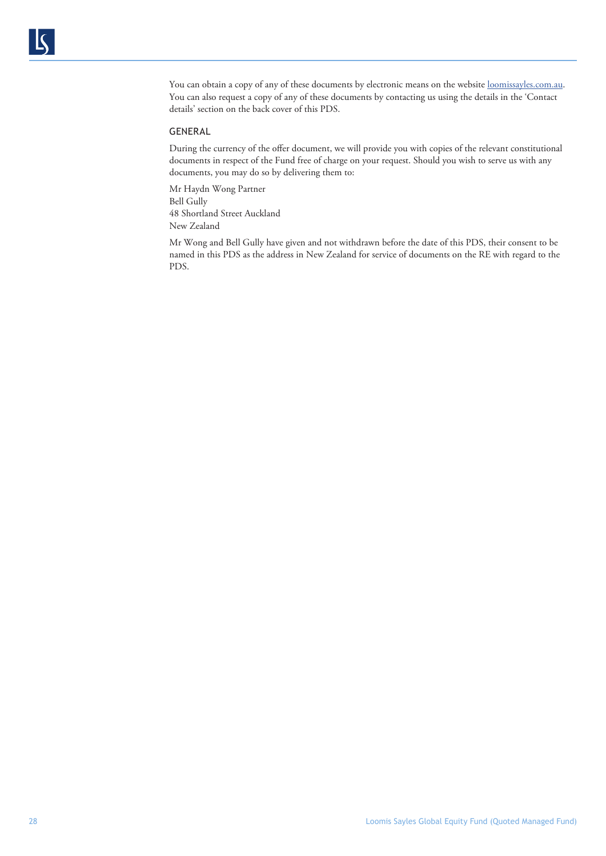You can obtain a copy of any of these documents by electronic means on the website **loomissayles.com.au**. You can also request a copy of any of these documents by contacting us using the details in the 'Contact details' section on the back cover of this PDS.

#### GENERAL

During the currency of the offer document, we will provide you with copies of the relevant constitutional documents in respect of the Fund free of charge on your request. Should you wish to serve us with any documents, you may do so by delivering them to:

Mr Haydn Wong Partner Bell Gully 48 Shortland Street Auckland New Zealand

Mr Wong and Bell Gully have given and not withdrawn before the date of this PDS, their consent to be named in this PDS as the address in New Zealand for service of documents on the RE with regard to the PDS.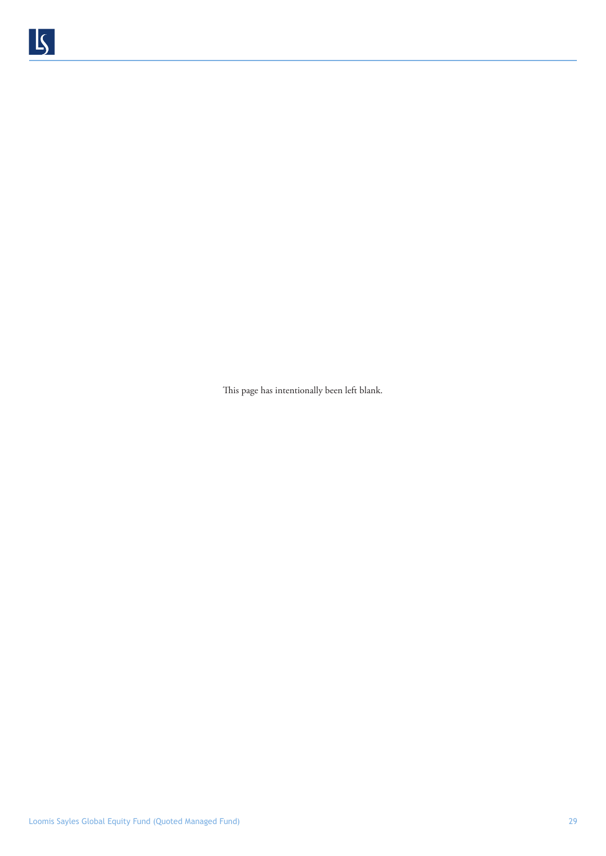

This page has intentionally been left blank.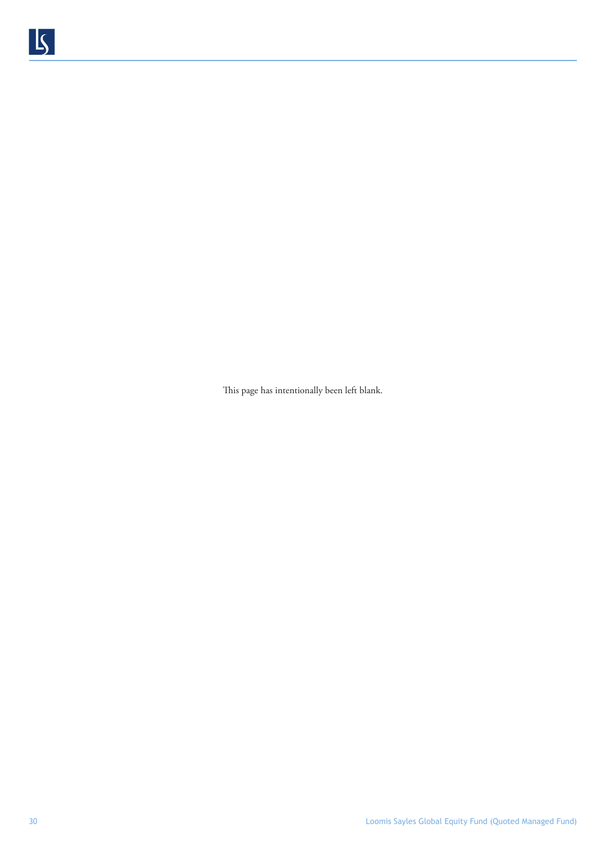

This page has intentionally been left blank.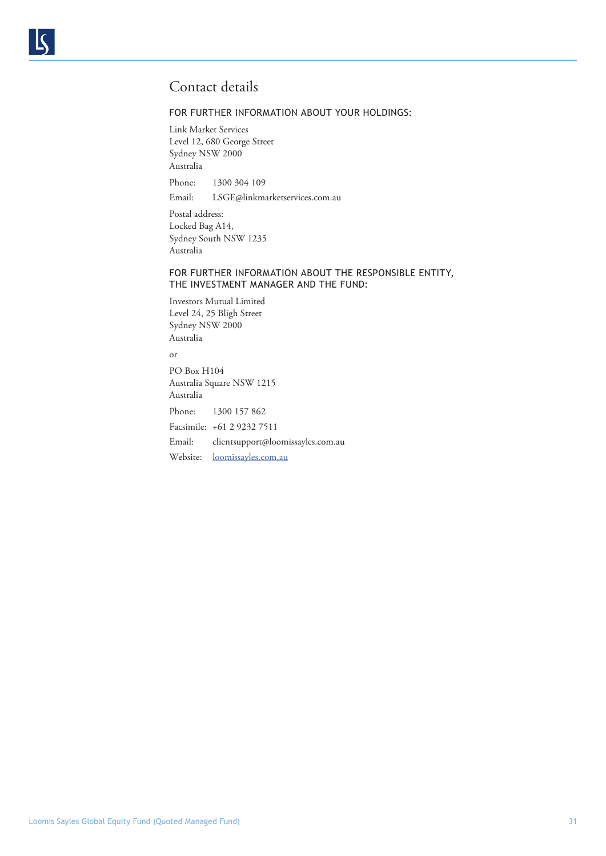# Contact details

#### FOR FURTHER INFORMATION ABOUT YOUR HOLDINGS:

Link Market Services Level 12, 680 George Street Sydney NSW 2000 Australia

Phone: 1300 304 109

Email: LSGE@linkmarketservices.com.au

Postal address: Locked Bag A14, Sydney South NSW 1235 Australia

#### FOR FURTHER INFORMATION ABOUT THE RESPONSIBLE ENTITY, THE INVESTMENT MANAGER AND THE FUND:

Investors Mutual Limited Level 24, 25 Bligh Street Sydney NSW 2000 Australia

or

PO Box H104 Australia Square NSW 1215 Australia Phone: 1300 157 862 Facsimile: +61 2 9232 7511 Email: clientsupport@loomissayles.com.au Website: loomissayles.com.au